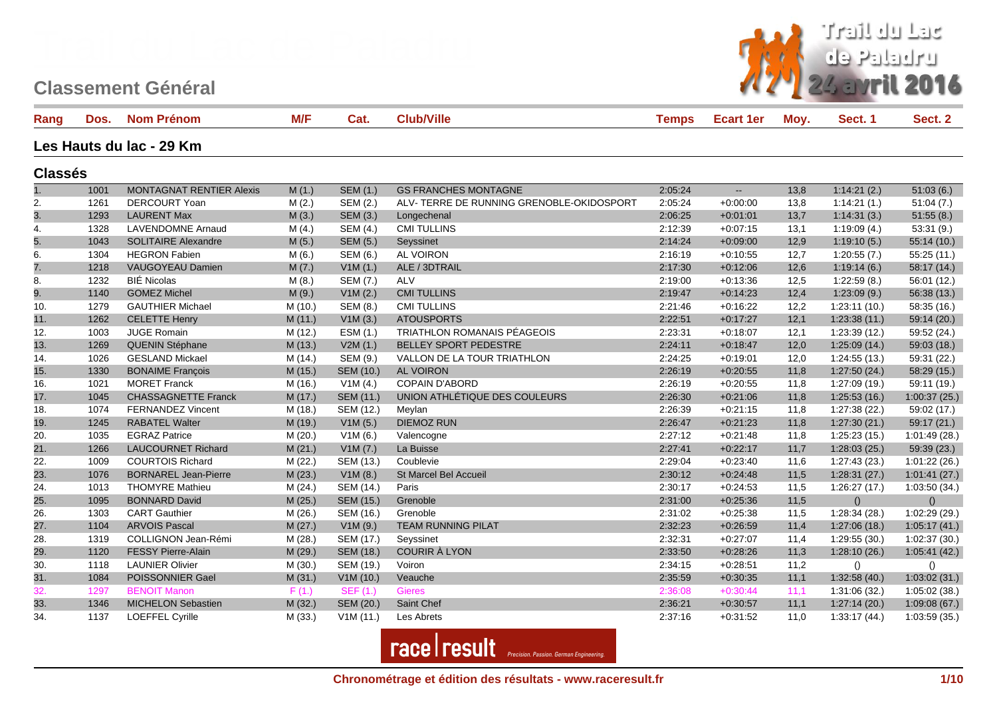

| Rang           | Dos. | <b>Nom Prénom</b>               | M/F     | Cat.                    | <b>Club/Ville</b>                         | <b>Temps</b> | <b>Ecart 1er</b>         | Moy. | Sect. 1       | Sect. 2       |
|----------------|------|---------------------------------|---------|-------------------------|-------------------------------------------|--------------|--------------------------|------|---------------|---------------|
|                |      | Les Hauts du lac - 29 Km        |         |                         |                                           |              |                          |      |               |               |
| <b>Classés</b> |      |                                 |         |                         |                                           |              |                          |      |               |               |
| 1.             | 1001 | <b>MONTAGNAT RENTIER Alexis</b> | M(1.)   | <b>SEM (1.)</b>         | <b>GS FRANCHES MONTAGNE</b>               | 2:05:24      | $\overline{\phantom{a}}$ | 13,8 | 1:14:21(2.)   | 51:03(6.)     |
| 2.             | 1261 | DERCOURT Yoan                   | M(2.)   | SEM (2.)                | ALV- TERRE DE RUNNING GRENOBLE-OKIDOSPORT | 2:05:24      | $+0.00:00$               | 13,8 | 1:14:21(1.)   | 51:04(7.)     |
| 3.             | 1293 | <b>LAURENT Max</b>              | M(3.)   | SEM (3.)                | Longechenal                               | 2:06:25      | $+0:01:01$               | 13,7 | 1:14:31(3.)   | 51:55(8.)     |
| 4.             | 1328 | <b>LAVENDOMNE Arnaud</b>        | M(4.)   | SEM (4.)                | <b>CMI TULLINS</b>                        | 2:12:39      | $+0.07:15$               | 13,1 | 1:19:09(4.)   | 53:31(9.)     |
| 5.             | 1043 | <b>SOLITAIRE Alexandre</b>      | M(5.)   | SEM (5.)                | Seyssinet                                 | 2:14:24      | $+0.09:00$               | 12,9 | 1:19:10(5.)   | 55:14(10.)    |
| 6.             | 1304 | <b>HEGRON Fabien</b>            | M(6.)   | SEM (6.)                | <b>AL VOIRON</b>                          | 2:16:19      | $+0.10.55$               | 12,7 | 1:20:55(7.)   | 55:25 (11.)   |
| 7.             | 1218 | VAUGOYEAU Damien                | M(7.)   | V1M(1.)                 | ALE / 3DTRAIL                             | 2:17:30      | $+0.12:06$               | 12,6 | 1:19:14(6.)   | 58:17 (14.)   |
| 8.             | 1232 | <b>BIÉ Nicolas</b>              | M(8.)   | SEM (7.)                | ALV                                       | 2:19:00      | $+0.13.36$               | 12,5 | 1:22:59(8.)   | 56:01 (12.)   |
| 9.             | 1140 | <b>GOMEZ Michel</b>             | M(9.)   | V1M(2.)                 | <b>CMI TULLINS</b>                        | 2:19:47      | $+0:14:23$               | 12,4 | 1:23:09(9.)   | 56:38(13)     |
| 10.            | 1279 | <b>GAUTHIER Michael</b>         | M (10.) | SEM (8.)                | <b>CMI TULLINS</b>                        | 2:21:46      | $+0.16.22$               | 12,2 | 1:23:11(10.)  | 58:35 (16.)   |
| 11.            | 1262 | <b>CELETTE Henry</b>            | M(11.)  | V1M(3.)                 | <b>ATOUSPORTS</b>                         | 2:22:51      | $+0:17:27$               | 12,1 | 1:23:38(11)   | 59:14 (20.)   |
| 12.            | 1003 | <b>JUGE Romain</b>              | M (12.) | ESM (1.)                | <b>TRIATHLON ROMANAIS PÉAGEOIS</b>        | 2:23:31      | $+0.18:07$               | 12,1 | 1:23:39(12.)  | 59:52 (24.)   |
| 13.            | 1269 | QUENIN Stéphane                 | M (13.) | V2M(1.)                 | BELLEY SPORT PEDESTRE                     | 2:24:11      | $+0.18.47$               | 12,0 | 1:25:09(14.)  | 59:03 (18.)   |
| 14.            | 1026 | <b>GESLAND Mickael</b>          | M (14.) | SEM (9.)                | VALLON DE LA TOUR TRIATHLON               | 2:24:25      | $+0.19:01$               | 12,0 | 1:24:55(13)   | 59:31 (22.)   |
| 15.            | 1330 | <b>BONAIME François</b>         | M (15.) | <b>SEM (10.)</b>        | AL VOIRON                                 | 2:26:19      | $+0:20:55$               | 11,8 | 1:27:50(24.)  | 58:29 (15.)   |
| 16.            | 1021 | <b>MORET Franck</b>             | M (16.) | V <sub>1</sub> M $(4.)$ | <b>COPAIN D'ABORD</b>                     | 2:26:19      | $+0.20.55$               | 11,8 | 1:27:09 (19.) | 59:11 (19.)   |
| 17.            | 1045 | <b>CHASSAGNETTE Franck</b>      | M(17.)  | SEM (11.)               | UNION ATHLÉTIQUE DES COULEURS             | 2:26:30      | $+0.21:06$               | 11,8 | 1:25:53(16.)  | 1:00:37(25.)  |
| 18.            | 1074 | <b>FERNANDEZ Vincent</b>        | M (18.) | SEM (12.)               | Meylan                                    | 2:26:39      | $+0:21:15$               | 11,8 | 1:27:38(22)   | 59:02 (17.)   |
| 19.            | 1245 | <b>RABATEL Walter</b>           | M (19.) | V1M(5.)                 | <b>DIEMOZ RUN</b>                         | 2:26:47      | $+0:21:23$               | 11,8 | 1:27:30(21.)  | 59:17(21)     |
| 20.            | 1035 | <b>EGRAZ Patrice</b>            | M(20.)  | V1M(6.)                 | Valencogne                                | 2:27:12      | $+0:21:48$               | 11.8 | 1:25:23(15.)  | 1:01:49(28.)  |
| 21.            | 1266 | <b>LAUCOURNET Richard</b>       | M(21.)  | V1M(7.)                 | La Buisse                                 | 2:27:41      | $+0:22:17$               | 11,7 | 1:28:03(25)   | 59:39 (23.)   |
| 22.            | 1009 | <b>COURTOIS Richard</b>         | M (22.) | SEM (13.)               | Coublevie                                 | 2:29:04      | $+0.23:40$               | 11,6 | 1:27:43 (23.) | 1:01:22(26.)  |
| 23.            | 1076 | <b>BORNAREL Jean-Pierre</b>     | M(23.)  | V1M(8.)                 | St Marcel Bel Accueil                     | 2:30:12      | $+0:24:48$               | 11,5 | 1:28:31(27.)  | 1:01:41(27.)  |
| 24.            | 1013 | <b>THOMYRE Mathieu</b>          | M(24.)  | SEM (14.)               | Paris                                     | 2:30:17      | $+0.24.53$               | 11,5 | 1:26:27(17.)  | 1:03:50 (34.) |
| 25.            | 1095 | <b>BONNARD David</b>            | M(25.)  | SEM (15.)               | Grenoble                                  | 2:31:00      | $+0.25:36$               | 11,5 | ()            | $\mathcal{O}$ |
| 26.            | 1303 | <b>CART</b> Gauthier            | M (26.) | SEM (16.)               | Grenoble                                  | 2:31:02      | $+0.25.38$               | 11,5 | 1:28:34(28)   | 1:02:29 (29.) |
| 27.            | 1104 | <b>ARVOIS Pascal</b>            | M(27.)  | V1M(9.)                 | <b>TEAM RUNNING PILAT</b>                 | 2:32:23      | $+0.26.59$               | 11,4 | 1:27:06(18.)  | 1:05:17(41.)  |
| 28.            | 1319 | <b>COLLIGNON Jean-Rémi</b>      | M (28.) | SEM (17.)               | Seyssinet                                 | 2:32:31      | $+0:27:07$               | 11.4 | 1:29:55(30.)  | 1:02:37(30.)  |
| 29.            | 1120 | <b>FESSY Pierre-Alain</b>       | M (29.) | SEM (18.)               | <b>COURIR À LYON</b>                      | 2:33:50      | $+0:28:26$               | 11,3 | 1:28:10(26.)  | 1:05:41(42)   |
| 30.            | 1118 | <b>LAUNIER Olivier</b>          | M (30.) | SEM (19.)               | Voiron                                    | 2:34:15      | $+0.28:51$               | 11,2 | $\Omega$      | $\Omega$      |
| 31.            | 1084 | POISSONNIER Gael                | M(31.)  | V1M(10.)                | Veauche                                   | 2:35:59      | $+0.30.35$               | 11,1 | 1:32:58(40.)  | 1:03:02(31.)  |
| 32.            | 1297 | <b>BENOIT Manon</b>             | F(1.)   | <b>SEF (1.)</b>         | <b>Gieres</b>                             | 2:36:08      | $+0:30:44$               | 11,1 | 1:31:06 (32.) | 1:05:02(38.)  |
| 33.            | 1346 | <b>MICHELON Sebastien</b>       | M(32.)  | <b>SEM (20.)</b>        | Saint Chef                                | 2:36:21      | $+0:30:57$               | 11,1 | 1:27:14(20.)  | 1:09:08(67.)  |
| 34.            | 1137 | LOEFFEL Cyrille                 | M (33.) | V1M(11.)                | Les Abrets                                | 2:37:16      | $+0.31.52$               | 11,0 | 1:33:17(44)   | 1:03:59 (35.) |

**race** result *Precision. Passion. German Engineering.*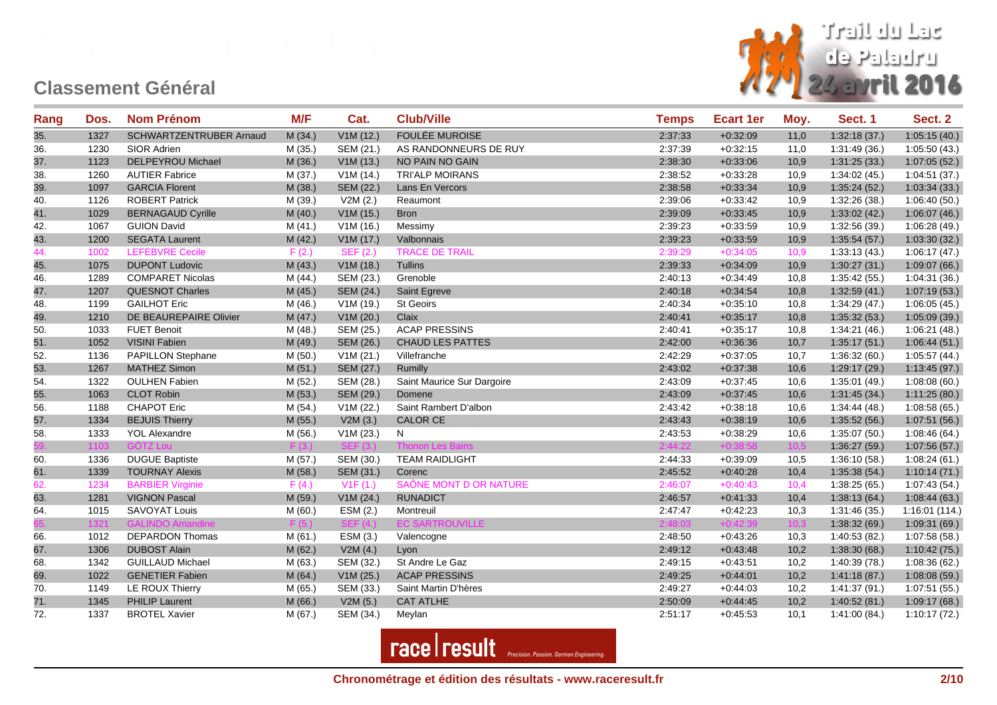

| Rang | Dos. | <b>Nom Prénom</b>        | M/F     | Cat.                    | <b>Club/Ville</b>          | <b>Temps</b> | <b>Ecart 1er</b> | Moy. | Sect. 1       | Sect. 2       |
|------|------|--------------------------|---------|-------------------------|----------------------------|--------------|------------------|------|---------------|---------------|
| 35.  | 1327 | SCHWARTZENTRUBER Arnaud  | M(34.)  | V1M(12.)                | <b>FOULÉE MUROISE</b>      | 2:37:33      | $+0.32:09$       | 11,0 | 1:32:18(37)   | 1:05:15(40.)  |
| 36.  | 1230 | SIOR Adrien              | M (35.) | SEM (21.)               | AS RANDONNEURS DE RUY      | 2:37:39      | $+0.32:15$       | 11,0 | 1:31:49 (36.) | 1:05:50(43.)  |
| 37.  | 1123 | DELPEYROU Michael        | M (36.) | V1M(13.)                | NO PAIN NO GAIN            | 2:38:30      | $+0.33:06$       | 10,9 | 1:31:25(33.)  | 1:07:05(52.)  |
| 38.  | 1260 | <b>AUTIER Fabrice</b>    | M (37.) | V1M(14.)                | <b>TRI'ALP MOIRANS</b>     | 2:38:52      | $+0.33:28$       | 10,9 | 1:34:02(45.)  | 1:04:51(37.)  |
| 39.  | 1097 | <b>GARCIA Florent</b>    | M (38.) | SEM (22.)               | Lans En Vercors            | 2:38:58      | $+0.33.34$       | 10,9 | 1:35:24(52)   | 1:03:34(33)   |
| 40.  | 1126 | <b>ROBERT Patrick</b>    | M (39.) | V2M(2.)                 | Reaumont                   | 2:39:06      | $+0.33:42$       | 10,9 | 1:32:26 (38.) | 1:06:40(50.)  |
| 41.  | 1029 | <b>BERNAGAUD Cyrille</b> | M(40.)  | V1M(15.)                | <b>Bron</b>                | 2:39:09      | $+0:33:45$       | 10,9 | 1:33:02(42)   | 1:06:07(46.)  |
| 42.  | 1067 | <b>GUION David</b>       | M (41.) | V1M(16.)                | Messimy                    | 2:39:23      | $+0:33:59$       | 10,9 | 1:32:56 (39.) | 1:06:28(49)   |
| 43.  | 1200 | <b>SEGATA Laurent</b>    | M (42.) | V1M(17.)                | Valbonnais                 | 2:39:23      | $+0.33.59$       | 10,9 | 1:35:54(57.)  | 1:03:30(32.)  |
| 44.  | 1002 | <b>LEFEBVRE Cecile</b>   | F(2.)   | <b>SEF (2.)</b>         | <b>TRACE DE TRAIL</b>      | 2:39:29      | $+0:34:05$       | 10,9 | 1:33:13(43)   | 1:06:17(47)   |
| 45.  | 1075 | <b>DUPONT Ludovic</b>    | M (43.) | V1M(18.)                | Tullins                    | 2:39:33      | $+0.34:09$       | 10,9 | 1:30:27(31.)  | 1:09:07(66.)  |
| 46.  | 1289 | <b>COMPARET Nicolas</b>  | M(44.)  | SEM (23.)               | Grenoble                   | 2:40:13      | $+0.34.49$       | 10,8 | 1:35:42(55.)  | 1:04:31(36.)  |
| 47.  | 1207 | <b>QUESNOT Charles</b>   | M (45.) | SEM (24.)               | Saint Egreve               | 2:40:18      | $+0.34.54$       | 10,8 | 1:32:59(41.)  | 1:07:19(53)   |
| 48.  | 1199 | <b>GAILHOT Eric</b>      | M (46.) | V1M(19.)                | <b>St Geoirs</b>           | 2:40:34      | $+0:35:10$       | 10,8 | 1:34:29(47.)  | 1:06:05(45)   |
| 49.  | 1210 | DE BEAUREPAIRE Olivier   | M(47.)  | V1M(20.)                | Claix                      | 2:40:41      | $+0:35:17$       | 10,8 | 1:35:32(53)   | 1:05:09(39)   |
| 50.  | 1033 | <b>FUET Benoit</b>       | M (48.) | SEM (25.)               | <b>ACAP PRESSINS</b>       | 2:40:41      | $+0:35:17$       | 10,8 | 1:34:21(46.)  | 1:06:21(48.)  |
| 51.  | 1052 | VISINI Fabien            | M (49.) | SEM (26.)               | <b>CHAUD LES PATTES</b>    | 2:42:00      | $+0.36.36$       | 10,7 | 1:35:17(51.)  | 1:06:44(51.)  |
| 52.  | 1136 | PAPILLON Stephane        | M (50.) | V1M(21.)                | Villefranche               | 2:42:29      | $+0.37:05$       | 10,7 | 1:36:32(60.)  | 1:05:57(44.)  |
| 53.  | 1267 | <b>MATHEZ Simon</b>      | M(51.)  | SEM (27.)               | Rumilly                    | 2:43:02      | $+0.37:38$       | 10,6 | 1:29:17(29.)  | 1:13:45(97.)  |
| 54.  | 1322 | <b>OULHEN Fabien</b>     | M (52.) | SEM (28.)               | Saint Maurice Sur Dargoire | 2:43:09      | $+0:37:45$       | 10,6 | 1:35:01(49)   | 1:08:08(60)   |
| 55.  | 1063 | <b>CLOT Robin</b>        | M (53.) | SEM (29.)               | Domene                     | 2:43:09      | $+0:37:45$       | 10,6 | 1:31:45(34.)  | 1:11:25(80.)  |
| 56.  | 1188 | <b>CHAPOT Eric</b>       | M (54.) | V1M (22.)               | Saint Rambert D'albon      | 2:43:42      | $+0:38:18$       | 10,6 | 1:34:44(48.)  | 1:08:58(65)   |
| 57.  | 1334 | <b>BEJUIS Thierry</b>    | M (55.) | V2M(3.)                 | <b>CALOR CE</b>            | 2:43:43      | $+0.38:19$       | 10,6 | 1:35:52(56.)  | 1:07:51(56.)  |
| 58.  | 1333 | <b>YOL Alexandre</b>     | M (56.) | V1M(23.)                | N                          | 2:43:53      | $+0:38:29$       | 10,6 | 1:35:07(50.)  | 1:08:46 (64.) |
|      | 1103 | <b>GÖTZ Lou</b>          | F(3.)   | <b>SEF</b>              | <b>Thonon Les Bains</b>    | 2:44:22      | $+0:38:58$       | 10,5 | 1:36:27(59)   | 1:07:56(57.)  |
| 60.  | 1336 | <b>DUGUE Baptiste</b>    | M (57.) | SEM (30.)               | <b>TEAM RAIDLIGHT</b>      | 2:44:33      | $+0.39.09$       | 10,5 | 1:36:10(58.)  | 1:08:24(61.)  |
| 61.  | 1339 | <b>TOURNAY Alexis</b>    | M (58.) | SEM (31.)               | Corenc                     | 2:45:52      | $+0.40:28$       | 10,4 | 1:35:38(54)   | 1:10:14(71.)  |
| 62.  | 1234 | <b>BARBIER Virginie</b>  | F(4.)   | V1F(1.)                 | SAÔNE MONT D OR NATURE     | 2:46:07      | $+0:40:43$       | 10,4 | 1:38:25(65)   | 1:07:43(54.)  |
| 63.  | 1281 | <b>VIGNON Pascal</b>     | M (59.) | V1M (24.)               | <b>RUNADICT</b>            | 2:46:57      | $+0.41:33$       | 10,4 | 1:38:13(64)   | 1:08:44(63)   |
| 64.  | 1015 | SAVOYAT Louis            | M(60.)  | ESM (2.)                | Montreuil                  | 2:47:47      | $+0:42:23$       | 10,3 | 1:31:46 (35.) | 1:16:01(114.) |
|      | 1321 | <b>GALINDO Amandine</b>  | F(5)    | SEF <sub>1</sub><br>(4) | <b>EC SARTROUVILLE</b>     | 2:48:03      | $+0:42:39$       | 10.3 | 1:38:32(69)   | 1:09:31(69)   |
| 66.  | 1012 | <b>DEPARDON Thomas</b>   | M (61.) | ESM (3.)                | Valencogne                 | 2:48:50      | $+0.43.26$       | 10,3 | 1:40:53 (82.) | 1:07:58 (58.) |
| 67.  | 1306 | <b>DUBOST Alain</b>      | M (62.) | V2M(4.)                 | Lyon                       | 2:49:12      | $+0:43:48$       | 10,2 | 1:38:30(68)   | 1:10:42(75.)  |
| 68.  | 1342 | <b>GUILLAUD Michael</b>  | M (63.) | SEM (32.)               | St Andre Le Gaz            | 2:49:15      | $+0:43:51$       | 10,2 | 1:40:39 (78.) | 1:08:36(62)   |
| 69.  | 1022 | <b>GENETIER Fabien</b>   | M(64.)  | V1M(25.)                | <b>ACAP PRESSINS</b>       | 2:49:25      | $+0.44:01$       | 10,2 | 1:41:18(87)   | 1:08:08(59)   |
| 70.  | 1149 | LE ROUX Thierry          | M (65.) | SEM (33.)               | Saint Martin D'hères       | 2:49:27      | $+0:44:03$       | 10,2 | 1:41:37(91.)  | 1:07:51 (55.) |
| 71.  | 1345 | <b>PHILIP Laurent</b>    | M(66.)  | V2M(5.)                 | <b>CAT ATLHE</b>           | 2:50:09      | $+0.44.45$       | 10,2 | 1:40:52(81)   | 1:09:17(68.)  |
| 72.  | 1337 | <b>BROTEL Xavier</b>     | M (67.) | SEM (34.)               | Meylan                     | 2:51:17      | $+0.45.53$       | 10,1 | 1:41:00(84)   | 1:10:17(72)   |

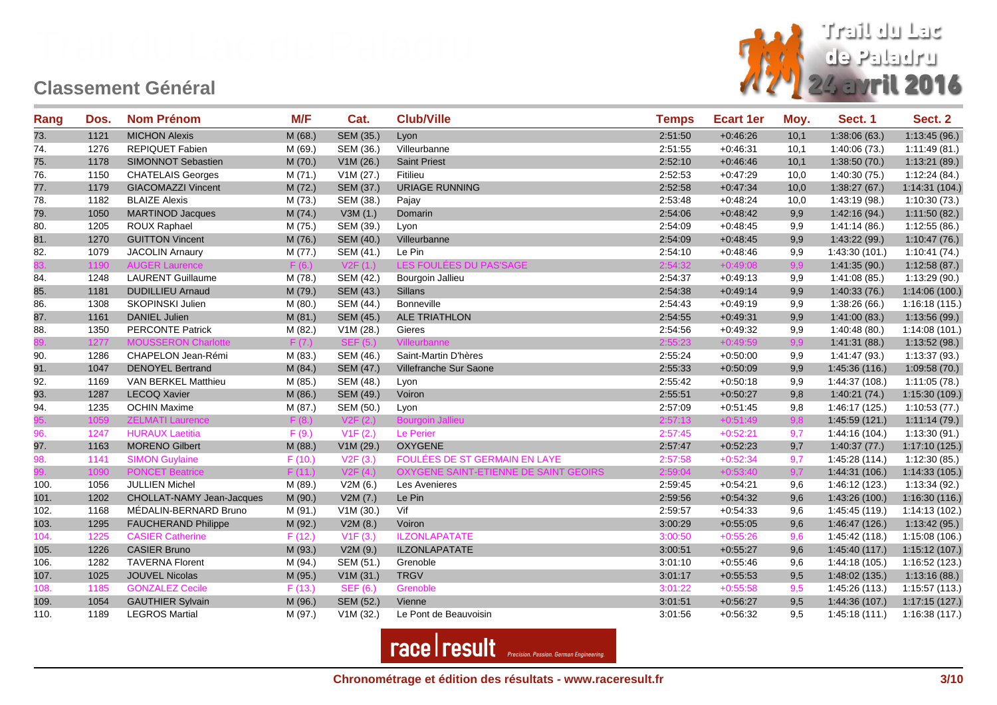

| Rang | Dos. | <b>Nom Prénom</b>          | M/F     | Cat.            | <b>Club/Ville</b>                            | <b>Temps</b> | <b>Ecart 1er</b> | Moy. | Sect. 1        | Sect. 2        |
|------|------|----------------------------|---------|-----------------|----------------------------------------------|--------------|------------------|------|----------------|----------------|
| 73.  | 1121 | <b>MICHON Alexis</b>       | M (68.) | SEM (35.)       | Lyon                                         | 2:51:50      | $+0.46:26$       | 10,1 | 1:38:06(63)    | 1:13:45(96.)   |
| 74.  | 1276 | <b>REPIQUET Fabien</b>     | M (69.) | SEM (36.)       | Villeurbanne                                 | 2:51:55      | $+0:46:31$       | 10,1 | 1:40:06 (73.)  | 1:11:49(81.)   |
| 75.  | 1178 | SIMONNOT Sebastien         | M (70.) | V1M(26.)        | <b>Saint Priest</b>                          | 2:52:10      | $+0.46:46$       | 10,1 | 1:38:50(70.)   | 1:13:21(89)    |
| 76.  | 1150 | <b>CHATELAIS Georges</b>   | M(71.)  | V1M (27.)       | Fitilieu                                     | 2:52:53      | $+0:47:29$       | 10,0 | 1:40:30 (75.)  | 1:12:24(84.)   |
| 77.  | 1179 | <b>GIACOMAZZI Vincent</b>  | M(72.)  | SEM (37.)       | <b>URIAGE RUNNING</b>                        | 2:52:58      | $+0.47.34$       | 10,0 | 1:38:27(67)    | 1:14:31(104.)  |
| 78.  | 1182 | <b>BLAIZE Alexis</b>       | M (73.) | SEM (38.)       | Pajay                                        | 2:53:48      | $+0:48:24$       | 10,0 | 1:43:19 (98.)  | 1:10:30(73)    |
| 79.  | 1050 | <b>MARTINOD Jacques</b>    | M(74.)  | V3M(1.)         | Domarin                                      | 2:54:06      | $+0.48:42$       | 9,9  | 1:42:16(94.)   | 1:11:50(82)    |
| 80.  | 1205 | ROUX Raphael               | M (75.) | SEM (39.)       | Lyon                                         | 2:54:09      | $+0.48.45$       | 9,9  | 1:41:14(86.)   | 1:12:55(86.)   |
| 81.  | 1270 | <b>GUITTON Vincent</b>     | M (76.) | SEM (40.)       | Villeurbanne                                 | 2:54:09      | $+0.48.45$       | 9,9  | 1:43:22(99.)   | 1:10:47(76.)   |
| 82.  | 1079 | <b>JACOLIN Arnaury</b>     | M (77.) | SEM (41.)       | Le Pin                                       | 2:54:10      | $+0.48.46$       | 9,9  | 1:43:30 (101.) | 1:10:41(74)    |
|      | 1190 | <b>AUGER Laurence</b>      | F(6.)   | V2F(1.)         | LES FOULÉES DU PAS'SAGE                      | 2:54:32      | $+0:49:08$       | 9,9  | 1:41:35(90.)   | 1:12:58(87)    |
| 84.  | 1248 | <b>LAURENT Guillaume</b>   | M (78.) | SEM (42.)       | Bourgoin Jallieu                             | 2:54:37      | $+0.49:13$       | 9,9  | 1:41:08(85.)   | 1:13:29(90.)   |
| 85.  | 1181 | <b>DUDILLIEU Arnaud</b>    | M (79.) | SEM (43.)       | Sillans                                      | 2:54:38      | $+0.49.14$       | 9,9  | 1:40:33(76.)   | 1:14:06 (100.) |
| 86.  | 1308 | SKOPINSKI Julien           | M (80.) | SEM (44.)       | <b>Bonneville</b>                            | 2:54:43      | $+0.49:19$       | 9,9  | 1:38:26(66)    | 1:16:18(115.)  |
| 87.  | 1161 | <b>DANIEL Julien</b>       | M(81.)  | SEM (45.)       | <b>ALE TRIATHLON</b>                         | 2:54:55      | $+0.49:31$       | 9,9  | 1:41:00(83.)   | 1:13:56(99.)   |
| 88.  | 1350 | <b>PERCONTE Patrick</b>    | M (82.) | V1M (28.)       | Gieres                                       | 2:54:56      | $+0.49.32$       | 9,9  | 1:40:48(80.)   | 1:14:08(101.)  |
|      | 1277 | <b>MOUSSERON Charlotte</b> | F(7)    |                 | Villeurbanne                                 | 2:55:23      | $+0:49:59$       | 9.9  | 1:41:31(88.)   | 1:13:52(98.)   |
| 90.  | 1286 | CHAPELON Jean-Rémi         | M (83.) | SEM (46.)       | Saint-Martin D'hères                         | 2:55:24      | $+0.50:00$       | 9,9  | 1:41:47(93.)   | 1:13:37(93.)   |
| 91.  | 1047 | <b>DENOYEL Bertrand</b>    | M (84.) | SEM (47.)       | Villefranche Sur Saone                       | 2:55:33      | $+0:50:09$       | 9,9  | 1:45:36 (116.) | 1:09:58(70.)   |
| 92.  | 1169 | VAN BERKEL Matthieu        | M (85.) | SEM (48.)       | Lyon                                         | 2:55:42      | $+0:50:18$       | 9,9  | 1:44:37 (108.) | 1:11:05(78.)   |
| 93.  | 1287 | <b>LECOQ Xavier</b>        | M (86.) | SEM (49.)       | Voiron                                       | 2:55:51      | $+0:50:27$       | 9,8  | 1:40:21(74.)   | 1:15:30 (109.) |
| 94.  | 1235 | <b>OCHIN Maxime</b>        | M (87.) | SEM (50.)       | Lyon                                         | 2:57:09      | $+0.51.45$       | 9,8  | 1:46:17 (125.) | 1:10:53(77.)   |
|      | 1059 | <b>ZELMATI Laurence</b>    | F(8)    | V2F(2.)         | <b>Bourgoin Jallieu</b>                      | 2:57:13      | $+0:51:49$       | 9,8  | 1:45:59 (121.) | 1:11:14(79)    |
| 96.  | 1247 | <b>HURAUX Laetitia</b>     | F(9.)   | V1F(2.)         | Le Perier                                    | 2:57:45      | $+0:52:21$       | 9,7  | 1:44:16 (104.) | 1:13:30(91.)   |
| 97.  | 1163 | <b>MORENO Gilbert</b>      | M (88.) | V1M(29.)        | <b>OXYGENE</b>                               | 2:57:47      | $+0.52:23$       | 9,7  | 1:40:37(77)    | 1:17:10(125.)  |
| 98.  | 1141 | <b>SIMON Guylaine</b>      | F(10.)  | V2F(3.)         | FOULÉES DE ST GERMAIN EN LAYE                | 2:57:58      | $+0:52:34$       | 9,7  | 1:45:28 (114.) | 1:12:30(85.)   |
|      | 1090 | <b>PONCET Beatrice</b>     | F(11.)  | V2F(4.)         | <b>OXYGENE SAINT-ETIENNE DE SAINT GEOIRS</b> | 2:59:04      | $+0:53:40$       | 9,7  | 1:44:31 (106.) | 1:14:33 (105.) |
| 100. | 1056 | <b>JULLIEN Michel</b>      | M (89.) | V2M(6.)         | Les Avenieres                                | 2:59:45      | $+0.54:21$       | 9,6  | 1:46:12 (123.) | 1:13:34(92.)   |
| 101. | 1202 | CHOLLAT-NAMY Jean-Jacques  | M (90.) | V2M(7.)         | Le Pin                                       | 2:59:56      | $+0.54.32$       | 9,6  | 1:43:26(100.)  | 1:16:30 (116.) |
| 102. | 1168 | MÉDALIN-BERNARD Bruno      | M (91.) | V1M(30.)        | Vif                                          | 2:59:57      | $+0.54.33$       | 9,6  | 1:45:45 (119.) | 1:14:13(102.)  |
| 103. | 1295 | <b>FAUCHERAND Philippe</b> | M (92.) | V2M(8.)         | Voiron                                       | 3:00:29      | $+0.55:05$       | 9,6  | 1:46:47 (126.) | 1:13:42(95.)   |
| 104. | 1225 | <b>CASIER Catherine</b>    | F(12.)  | V1F(3.)         | <b>ILZONLAPATATE</b>                         | 3:00:50      | $+0:55:26$       | 9,6  | 1:45:42(118.)  | 1:15:08 (106.) |
| 105. | 1226 | <b>CASIER Bruno</b>        | M (93.) | V2M (9.)        | <b>ILZONLAPATATE</b>                         | 3:00:51      | $+0.55:27$       | 9,6  | 1:45:40 (117.) | 1:15:12(107.)  |
| 106. | 1282 | <b>TAVERNA Florent</b>     | M (94.) | SEM (51.)       | Grenoble                                     | 3:01:10      | $+0.55.46$       | 9,6  | 1:44:18 (105.) | 1:16:52 (123.) |
| 107. | 1025 | <b>JOUVEL Nicolas</b>      | M (95.) | V1M(31.)        | <b>TRGV</b>                                  | 3:01:17      | $+0.55.53$       | 9,5  | 1:48:02 (135.) | 1:13:16(88.)   |
| 108. | 1185 | <b>GONZALEZ Cecile</b>     | F(13.)  | <b>SEF (6.)</b> | Grenoble                                     | 3:01:22      | $+0:55:58$       | 9,5  | 1:45:26 (113.) | 1:15:57 (113.) |
| 109. | 1054 | <b>GAUTHIER Sylvain</b>    | M (96.) | SEM (52.)       | Vienne                                       | 3:01:51      | $+0.56:27$       | 9,5  | 1:44:36 (107.) | 1:17:15(127.)  |
| 110. | 1189 | <b>LEGROS Martial</b>      | M (97.) | V1M(32.)        | Le Pont de Beauvoisin                        | 3:01:56      | $+0.56.32$       | 9,5  | 1:45:18(111.)  | 1:16:38(117.)  |

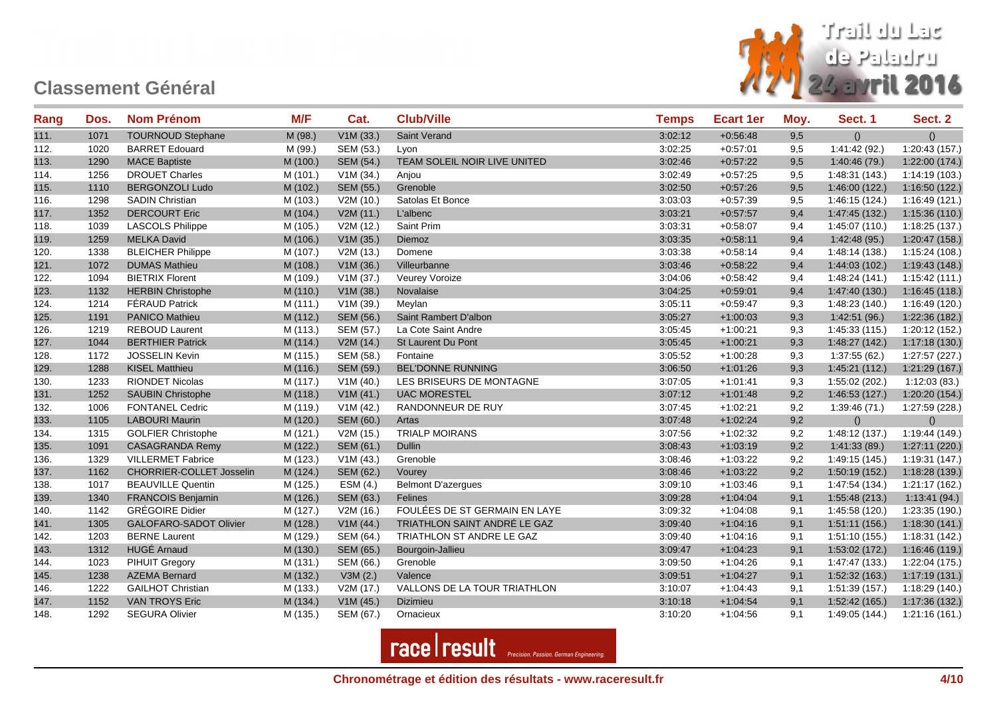

| Rang | Dos. | <b>Nom Prénom</b>               | M/F      | Cat.      | <b>Club/Ville</b>             | <b>Temps</b> | <b>Ecart 1er</b> | Moy. | Sect. 1        | Sect. 2        |
|------|------|---------------------------------|----------|-----------|-------------------------------|--------------|------------------|------|----------------|----------------|
| 111. | 1071 | <b>TOURNOUD Stephane</b>        | M (98.)  | V1M(33.)  | Saint Verand                  | 3:02:12      | $+0.56.48$       | 9,5  | ()             | ()             |
| 112. | 1020 | <b>BARRET Edouard</b>           | M (99.)  | SEM (53.) | Lyon                          | 3:02:25      | $+0.57:01$       | 9,5  | 1:41:42 (92.)  | 1:20:43 (157.) |
| 113. | 1290 | <b>MACE Baptiste</b>            | M (100.) | SEM (54.) | TEAM SOLEIL NOIR LIVE UNITED  | 3:02:46      | $+0.57:22$       | 9,5  | 1:40:46(79)    | 1:22:00 (174.) |
| 114. | 1256 | <b>DROUET Charles</b>           | M (101.) | V1M (34.) | Anjou                         | 3:02:49      | $+0.57:25$       | 9,5  | 1:48:31 (143.) | 1:14:19(103.)  |
| 115. | 1110 | <b>BERGONZOLI Ludo</b>          | M (102.) | SEM (55.) | Grenoble                      | 3:02:50      | $+0.57:26$       | 9,5  | 1:46:00(122.)  | 1:16:50 (122.) |
| 116. | 1298 | <b>SADIN Christian</b>          | M (103.) | V2M (10.) | Satolas Et Bonce              | 3:03:03      | $+0.57:39$       | 9,5  | 1:46:15 (124.) | 1:16:49 (121.) |
| 117. | 1352 | <b>DERCOURT Eric</b>            | M (104.) | V2M(11.)  | L'albenc                      | 3:03:21      | $+0.57:57$       | 9,4  | 1:47:45 (132.) | 1:15:36(110.)  |
| 118. | 1039 | <b>LASCOLS Philippe</b>         | M (105.) | V2M (12.) | Saint Prim                    | 3:03:31      | $+0.58:07$       | 9,4  | 1:45:07(110.)  | 1:18:25 (137.) |
| 119. | 1259 | <b>MELKA David</b>              | M (106.) | V1M(35.)  | Diemoz                        | 3:03:35      | $+0.58:11$       | 9,4  | 1:42:48(95.)   | 1:20:47 (158.) |
| 120. | 1338 | <b>BLEICHER Philippe</b>        | M (107.) | V2M(13.)  | Domene                        | 3:03:38      | $+0.58.14$       | 9,4  | 1:48:14 (138.) | 1:15:24 (108.) |
| 121. | 1072 | <b>DUMAS Mathieu</b>            | M (108.) | V1M(36.)  | Villeurbanne                  | 3:03:46      | $+0.58:22$       | 9,4  | 1:44:03(102.)  | 1:19:43 (148.) |
| 122. | 1094 | <b>BIETRIX Florent</b>          | M (109.) | V1M (37.) | Veurey Voroize                | 3:04:06      | $+0.58.42$       | 9,4  | 1:48:24 (141.) | 1:15:42(111.)  |
| 123. | 1132 | <b>HERBIN Christophe</b>        | M (110.) | V1M(38.)  | Novalaise                     | 3:04:25      | $+0.59:01$       | 9,4  | 1:47:40 (130.) | 1:16:45(118.)  |
| 124. | 1214 | <b>FÉRAUD Patrick</b>           | M (111.) | V1M(39.)  | Meylan                        | 3:05:11      | $+0.59.47$       | 9,3  | 1:48:23 (140.) | 1:16:49 (120.) |
| 125. | 1191 | <b>PANICO Mathieu</b>           | M (112.) | SEM (56.) | Saint Rambert D'albon         | 3:05:27      | $+1:00:03$       | 9,3  | 1:42:51 (96.)  | 1:22:36 (182.) |
| 126. | 1219 | <b>REBOUD Laurent</b>           | M (113.) | SEM (57.) | La Cote Saint Andre           | 3:05:45      | $+1:00:21$       | 9,3  | 1:45:33 (115.) | 1:20:12 (152.) |
| 127. | 1044 | <b>BERTHIER Patrick</b>         | M (114.) | V2M(14.)  | St Laurent Du Pont            | 3:05:45      | $+1:00:21$       | 9,3  | 1:48:27 (142.) | 1:17:18(130.)  |
| 128. | 1172 | <b>JOSSELIN Kevin</b>           | M (115.) | SEM (58.) | Fontaine                      | 3:05:52      | $+1:00:28$       | 9,3  | 1:37:55(62.)   | 1:27:57 (227.) |
| 129. | 1288 | <b>KISEL Matthieu</b>           | M (116.) | SEM (59.) | <b>BEL'DONNE RUNNING</b>      | 3:06:50      | $+1:01:26$       | 9,3  | 1:45:21 (112.) | 1:21:29 (167.) |
| 130. | 1233 | RIONDET Nicolas                 | M (117.) | V1M(40.)  | LES BRISEURS DE MONTAGNE      | 3:07:05      | $+1:01:41$       | 9,3  | 1:55:02 (202.) | 1:12:03(83)    |
| 131. | 1252 | <b>SAUBIN Christophe</b>        | M (118.) | V1M(41.)  | <b>UAC MORESTEL</b>           | 3:07:12      | $+1:01:48$       | 9,2  | 1:46:53(127.)  | 1:20:20(154.)  |
| 132. | 1006 | <b>FONTANEL Cedric</b>          | M (119.) | V1M(42.)  | RANDONNEUR DE RUY             | 3:07:45      | $+1:02:21$       | 9,2  | 1:39:46(71)    | 1:27:59 (228.) |
| 133. | 1105 | <b>LABOURI Maurin</b>           | M (120.) | SEM (60.) | Artas                         | 3:07:48      | $+1:02:24$       | 9,2  | ()             | ()             |
| 134. | 1315 | <b>GOLFIER Christophe</b>       | M (121.) | V2M(15.)  | <b>TRIALP MOIRANS</b>         | 3:07:56      | $+1:02:32$       | 9,2  | 1:48:12 (137.) | 1:19:44 (149.) |
| 135. | 1091 | <b>CASAGRANDA Remy</b>          | M (122.) | SEM (61.) | Dullin                        | 3:08:43      | $+1:03:19$       | 9,2  | 1:41:33(89)    | 1:27:11 (220.) |
| 136. | 1329 | <b>VILLERMET Fabrice</b>        | M (123.) | V1M(43.)  | Grenoble                      | 3:08:46      | $+1:03:22$       | 9,2  | 1:49:15 (145.) | 1:19:31 (147.) |
| 137. | 1162 | <b>CHORRIER-COLLET Josselin</b> | M (124.) | SEM (62.) | Vourey                        | 3:08:46      | $+1:03:22$       | 9,2  | 1:50:19 (152.) | 1:18:28(139.)  |
| 138. | 1017 | <b>BEAUVILLE Quentin</b>        | M (125.) | ESM (4.)  | <b>Belmont D'azergues</b>     | 3:09:10      | $+1:03:46$       | 9,1  | 1:47:54 (134.) | 1:21:17 (162.) |
| 139. | 1340 | <b>FRANCOIS Benjamin</b>        | M (126.) | SEM (63.) | Felines                       | 3:09:28      | $+1:04:04$       | 9,1  | 1:55:48(213.)  | 1:13:41(94.)   |
| 140. | 1142 | <b>GRÉGOIRE Didier</b>          | M (127.) | V2M(16.)  | FOULÉES DE ST GERMAIN EN LAYE | 3:09:32      | $+1:04:08$       | 9,1  | 1:45:58 (120.) | 1:23:35 (190.) |
| 141. | 1305 | GALOFARO-SADOT Olivier          | M (128.) | V1M(44.)  | TRIATHLON SAINT ANDRÉ LE GAZ  | 3:09:40      | $+1:04:16$       | 9,1  | 1:51:11(156.)  | 1:18:30(141.)  |
| 142. | 1203 | <b>BERNE Laurent</b>            | M (129.) | SEM (64.) | TRIATHLON ST ANDRE LE GAZ     | 3:09:40      | $+1:04:16$       | 9,1  | 1:51:10 (155.) | 1:18:31 (142.) |
| 143. | 1312 | <b>HUGÉ Arnaud</b>              | M (130.) | SEM (65.) | Bourgoin-Jallieu              | 3:09:47      | $+1:04:23$       | 9,1  | 1:53:02 (172.) | 1:16:46 (119.) |
| 144. | 1023 | PIHUIT Gregory                  | M (131.) | SEM (66.) | Grenoble                      | 3:09:50      | $+1:04:26$       | 9,1  | 1:47:47 (133.) | 1:22:04 (175.) |
| 145. | 1238 | <b>AZEMA Bernard</b>            | M (132.) | V3M(2.)   | Valence                       | 3:09:51      | $+1:04:27$       | 9,1  | 1:52:32 (163.) | 1:17:19(131.)  |
| 146. | 1222 | <b>GAILHOT Christian</b>        | M (133.) | V2M(17.)  | VALLONS DE LA TOUR TRIATHLON  | 3:10:07      | $+1.04.43$       | 9,1  | 1:51:39 (157.) | 1:18:29 (140.) |
| 147. | 1152 | <b>VAN TROYS Eric</b>           | M (134.) | V1M(45.)  | Dizimieu                      | 3:10:18      | $+1:04:54$       | 9,1  | 1:52:42 (165.) | 1:17:36 (132.) |
| 148. | 1292 | <b>SEGURA Olivier</b>           | M (135.) | SEM (67.) | Ornacieux                     | 3:10:20      | $+1:04:56$       | 9,1  | 1:49:05 (144.) | 1:21:16(161.)  |

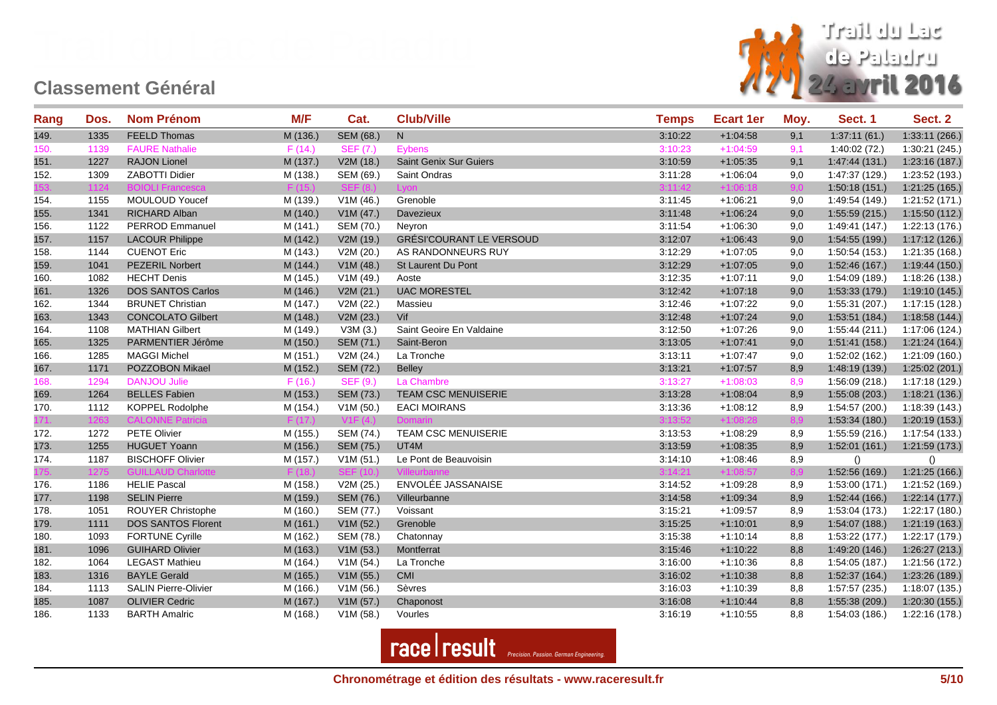

| Rang | Dos. | <b>Nom Prénom</b>           | M/F      | Cat.             | <b>Club/Ville</b>               | <b>Temps</b> | <b>Ecart 1er</b> | Moy. | Sect. 1        | Sect. 2        |
|------|------|-----------------------------|----------|------------------|---------------------------------|--------------|------------------|------|----------------|----------------|
| 149. | 1335 | <b>FEELD Thomas</b>         | M (136.) | SEM (68.)        | N                               | 3:10:22      | $+1:04:58$       | 9,1  | 1:37:11(61.)   | 1:33:11(266.)  |
| 150. | 1139 | <b>FAURE Nathalie</b>       | F(14.)   | <b>SEF (7.)</b>  | Eybens                          | 3:10:23      | $+1:04:59$       | 9,1  | 1:40:02(72.)   | 1:30:21 (245.) |
| 151. | 1227 | <b>RAJON Lionel</b>         | M (137.) | V2M(18.)         | Saint Genix Sur Guiers          | 3:10:59      | $+1:05:35$       | 9,1  | 1:47:44 (131.) | 1:23:16 (187.) |
| 152. | 1309 | ZABOTTI Didier              | M (138.) | SEM (69.)        | Saint Ondras                    | 3:11:28      | $+1:06:04$       | 9,0  | 1:47:37 (129.) | 1:23:52 (193.) |
| 153. | 1124 | <b>BOIOLI Francesca</b>     | F(15)    |                  | Lvon                            | 3:11:42      | $+1:06:18$       | 9,0  | 1:50:18(151.)  | 1:21:25(165.)  |
| 154. | 1155 | <b>MOULOUD Youcef</b>       | M (139.) | V1M(46.)         | Grenoble                        | 3:11:45      | $+1:06:21$       | 9,0  | 1:49:54 (149.) | 1:21:52 (171.) |
| 155. | 1341 | RICHARD Alban               | M (140.) | V1M (47.)        | Davezieux                       | 3:11:48      | $+1:06:24$       | 9,0  | 1:55:59(215.)  | 1:15:50(112.)  |
| 156. | 1122 | PERROD Emmanuel             | M (141.) | SEM (70.)        | Neyron                          | 3:11:54      | $+1:06:30$       | 9,0  | 1:49:41 (147.) | 1:22:13 (176.) |
| 157. | 1157 | <b>LACOUR Philippe</b>      | M (142.) | V2M (19.)        | <b>GRÉSI'COURANT LE VERSOUD</b> | 3:12:07      | $+1:06:43$       | 9,0  | 1:54:55 (199.) | 1:17:12(126.)  |
| 158. | 1144 | <b>CUENOT Eric</b>          | M (143.) | V2M(20.)         | AS RANDONNEURS RUY              | 3:12:29      | $+1:07:05$       | 9,0  | 1:50:54 (153.) | 1:21:35 (168.) |
| 159. | 1041 | <b>PEZERIL Norbert</b>      | M(144.)  | V1M(48.)         | St Laurent Du Pont              | 3:12:29      | $+1:07:05$       | 9,0  | 1:52:46 (167.) | 1:19:44 (150.) |
| 160. | 1082 | <b>HECHT</b> Denis          | M (145.) | V1M(49.)         | Aoste                           | 3:12:35      | $+1:07:11$       | 9,0  | 1:54:09 (189.) | 1:18:26 (138.) |
| 161. | 1326 | DOS SANTOS Carlos           | M (146.) | V2M (21.)        | <b>UAC MORESTEL</b>             | 3:12:42      | $+1:07:18$       | 9,0  | 1:53:33 (179.) | 1:19:10 (145.) |
| 162. | 1344 | <b>BRUNET Christian</b>     | M (147.) | V2M (22.)        | Massieu                         | 3:12:46      | $+1:07:22$       | 9,0  | 1:55:31 (207.) | 1:17:15 (128.) |
| 163. | 1343 | <b>CONCOLATO Gilbert</b>    | M (148.) | V2M (23.)        | Vif                             | 3:12:48      | $+1:07:24$       | 9,0  | 1:53:51 (184.) | 1:18:58(144)   |
| 164. | 1108 | <b>MATHIAN Gilbert</b>      | M (149.) | V3M(3.)          | Saint Geoire En Valdaine        | 3:12:50      | $+1:07:26$       | 9,0  | 1:55:44 (211.) | 1:17:06 (124.) |
| 165. | 1325 | PARMENTIER Jérôme           | M (150.) | SEM (71.)        | Saint-Beron                     | 3:13:05      | $+1:07:41$       | 9,0  | 1:51:41(158.)  | 1:21:24(164.)  |
| 166. | 1285 | <b>MAGGI Michel</b>         | M (151.) | V2M (24.)        | La Tronche                      | 3:13:11      | $+1:07:47$       | 9,0  | 1:52:02 (162.) | 1:21:09 (160.) |
| 167. | 1171 | POZZOBON Mikael             | M (152.) | SEM (72.)        | <b>Belley</b>                   | 3:13:21      | $+1:07:57$       | 8,9  | 1:48:19(139)   | 1:25:02(201.)  |
| 168. | 1294 | <b>DANJOU Julie</b>         | F(16.)   | <b>SEF (9.)</b>  | La Chambre                      | 3:13:27      | $+1:08:03$       | 8,9  | 1:56:09 (218.) | 1:17:18 (129.) |
| 169. | 1264 | <b>BELLES Fabien</b>        | M (153.) | SEM (73.)        | TEAM CSC MENUISERIE             | 3:13:28      | $+1:08:04$       | 8,9  | 1:55:08(203.)  | 1:18:21 (136.) |
| 170. | 1112 | KOPPEL Rodolphe             | M (154.) | V1M(50.)         | <b>EACI MOIRANS</b>             | 3:13:36      | $+1:08:12$       | 8,9  | 1:54:57 (200.) | 1:18:39 (143.) |
| 171. | 1263 | <b>CALONNE Patricia</b>     | F(17.)   | V1F(4)           | Domarin                         | 3:13:52      | $+1:08:28$       | 8,9  | 1:53:34(180.)  | 1:20:19(153.)  |
| 172. | 1272 | <b>PETE Olivier</b>         | M (155.) | SEM (74.)        | <b>TEAM CSC MENUISERIE</b>      | 3:13:53      | $+1:08:29$       | 8,9  | 1:55:59 (216.) | 1:17:54 (133.) |
| 173. | 1255 | <b>HUGUET Yoann</b>         | M (156.) | <b>SEM (75.)</b> | UT4M                            | 3:13:59      | $+1:08:35$       | 8,9  | 1:52:01(161.)  | 1:21:59 (173.) |
| 174. | 1187 | <b>BISCHOFF Olivier</b>     | M (157.) | V1M(51.)         | Le Pont de Beauvoisin           | 3:14:10      | $+1.08:46$       | 8,9  | ()             | ()             |
| 175. | 1275 | <b>GUILLAUD Charlotte</b>   | F (18.)  | <b>SEF (10.)</b> |                                 | 3:14:21      | $+1:08:57$       | 8,9  | 1:52:56 (169.) | 1:21:25(166.)  |
| 176. | 1186 | <b>HELIE Pascal</b>         | M (158.) | V2M (25.)        | ENVOLÉE JASSANAISE              | 3:14:52      | $+1:09:28$       | 8,9  | 1:53:00 (171.) | 1:21:52 (169.) |
| 177. | 1198 | <b>SELIN Pierre</b>         | M (159.) | SEM (76.)        | Villeurbanne                    | 3:14:58      | $+1:09:34$       | 8,9  | 1:52:44(166.)  | 1:22:14(177.)  |
| 178. | 1051 | ROUYER Christophe           | M (160.) | SEM (77.)        | Voissant                        | 3:15:21      | $+1:09:57$       | 8,9  | 1:53:04 (173.) | 1:22:17 (180.) |
| 179. | 1111 | DOS SANTOS Florent          | M (161.) | V1M(52.)         | Grenoble                        | 3:15:25      | $+1:10:01$       | 8,9  | 1:54:07(188.)  | 1:21:19 (163.) |
| 180. | 1093 | <b>FORTUNE Cyrille</b>      | M (162.) | SEM (78.)        | Chatonnay                       | 3:15:38      | $+1:10:14$       | 8,8  | 1:53:22 (177.) | 1:22:17 (179.) |
| 181. | 1096 | <b>GUIHARD Olivier</b>      | M (163.) | V1M(53.)         | Montferrat                      | 3:15:46      | $+1:10:22$       | 8,8  | 1:49:20 (146.) | 1:26:27(213.)  |
| 182. | 1064 | <b>LEGAST Mathieu</b>       | M (164.) | V1M (54.)        | La Tronche                      | 3:16:00      | $+1:10:36$       | 8,8  | 1:54:05 (187.) | 1:21:56 (172.) |
| 183. | 1316 | <b>BAYLE Gerald</b>         | M (165.) | V1M(55.)         | CMI                             | 3:16:02      | $+1:10:38$       | 8,8  | 1:52:37 (164.) | 1:23:26 (189.) |
| 184. | 1113 | <b>SALIN Pierre-Olivier</b> | M (166.) | V1M(56.)         | Sèvres                          | 3:16:03      | $+1:10:39$       | 8,8  | 1:57:57 (235.) | 1:18:07 (135.) |
| 185. | 1087 | <b>OLIVIER Cedric</b>       | M (167.) | V1M (57.)        | Chaponost                       | 3:16:08      | $+1:10:44$       | 8,8  | 1:55:38 (209.) | 1:20:30(155.)  |
| 186. | 1133 | <b>BARTH Amalric</b>        | M (168.) | V1M(58.)         | Vourles                         | 3:16:19      | $+1:10:55$       | 8,8  | 1:54:03 (186.) | 1:22:16 (178.) |

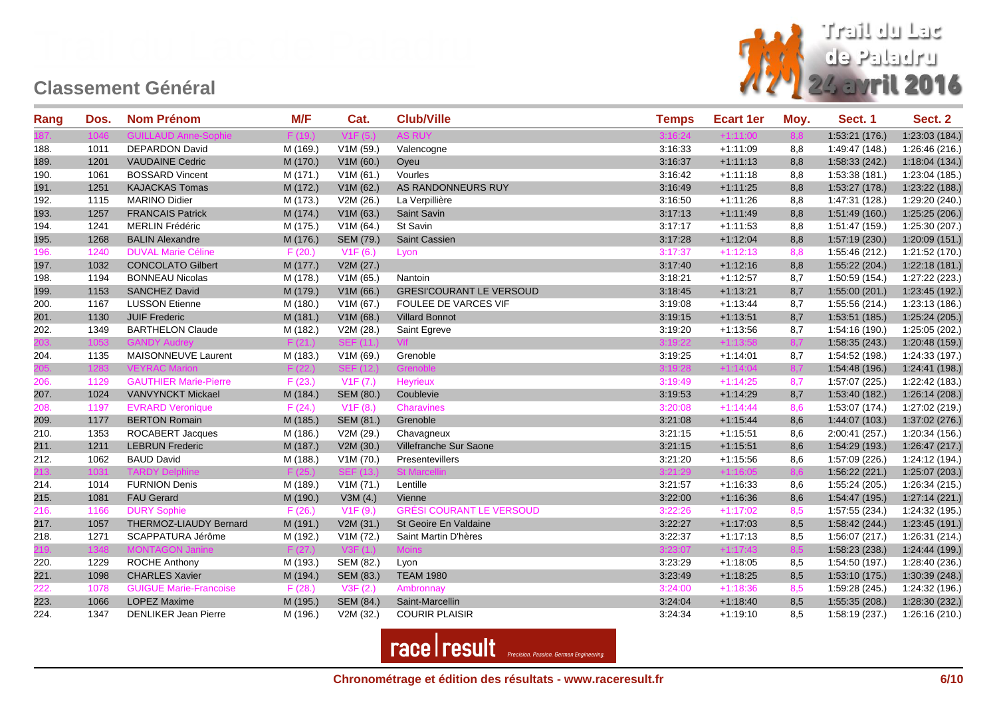

| Rang | Dos. | <b>Nom Prénom</b>             | M/F      | Cat.                     | <b>Club/Ville</b>               | <b>Temps</b> | <b>Ecart 1er</b> | Moy. | Sect. 1        | Sect. 2        |
|------|------|-------------------------------|----------|--------------------------|---------------------------------|--------------|------------------|------|----------------|----------------|
|      | 1046 |                               |          |                          |                                 |              | $+1:11:00$       | 8.8  | 1:53:21 (176.) | 1:23:03 (184.) |
| 188. | 1011 | <b>DEPARDON David</b>         | M (169.) | V1M(59.)                 | Valencogne                      | 3:16:33      | $+1:11:09$       | 8,8  | 1:49:47 (148.) | 1:26:46 (216.) |
| 189. | 1201 | <b>VAUDAINE Cedric</b>        | M (170.) | V1M(60.)                 | Oyeu                            | 3:16:37      | $+1:11:13$       | 8,8  | 1:58:33(242.)  | 1:18:04 (134.) |
| 190. | 1061 | <b>BOSSARD Vincent</b>        | M (171.) | V1M(61.)                 | Vourles                         | 3:16:42      | $+1:11:18$       | 8,8  | 1:53:38(181.)  | 1:23:04 (185.) |
| 191. | 1251 | <b>KAJACKAS Tomas</b>         | M (172.) | V1M(62.)                 | AS RANDONNEURS RUY              | 3:16:49      | $+1:11:25$       | 8,8  | 1:53:27(178.)  | 1:23:22 (188.) |
| 192. | 1115 | <b>MARINO Didier</b>          | M (173.) | V2M (26.)                | La Verpillière                  | 3:16:50      | $+1:11:26$       | 8,8  | 1:47:31 (128.) | 1:29:20 (240.) |
| 193. | 1257 | <b>FRANCAIS Patrick</b>       | M (174.) | V1M(63.)                 | Saint Savin                     | 3:17:13      | $+1:11:49$       | 8,8  | 1:51:49(160.)  | 1:25:25(206.)  |
| 194. | 1241 | <b>MERLIN Frédéric</b>        | M (175.) | V1M (64.)                | St Savin                        | 3:17:17      | $+1:11:53$       | 8,8  | 1:51:47 (159.) | 1:25:30 (207.) |
| 195. | 1268 | <b>BALIN Alexandre</b>        | M (176.) | SEM (79.)                | Saint Cassien                   | 3:17:28      | $+1:12:04$       | 8,8  | 1:57:19(230.)  | 1:20:09(151.)  |
| 196. | 1240 | <b>DUVAL Marie Céline</b>     | F(20.)   | V1F(6.)                  | Lyon                            | 3:17:37      | $+1:12:13$       | 8,8  | 1:55:46 (212.) | 1:21:52 (170.) |
| 197. | 1032 | <b>CONCOLATO Gilbert</b>      | M (177.) | V2M (27.)                |                                 | 3:17:40      | $+1:12:16$       | 8,8  | 1:55:22(204.)  | 1:22:18(181.)  |
| 198. | 1194 | <b>BONNEAU Nicolas</b>        | M (178.) | V1M(65.)                 | Nantoin                         | 3:18:21      | $+1:12:57$       | 8,7  | 1:50:59 (154.) | 1:27:22 (223.) |
| 199. | 1153 | <b>SANCHEZ David</b>          | M (179.) | V1M(66.)                 | <b>GRESI'COURANT LE VERSOUD</b> | 3:18:45      | $+1:13:21$       | 8,7  | 1:55:00(201.)  | 1:23:45 (192.) |
| 200. | 1167 | <b>LUSSON Etienne</b>         | M (180.) | V1M(67.)                 | <b>FOULEE DE VARCES VIF</b>     | 3:19:08      | $+1:13:44$       | 8,7  | 1:55:56 (214.) | 1:23:13 (186.) |
| 201. | 1130 | <b>JUIF Frederic</b>          | M (181.) | V1M(68.)                 | <b>Villard Bonnot</b>           | 3:19:15      | $+1:13:51$       | 8,7  | 1:53:51 (185.) | 1:25:24 (205.) |
| 202. | 1349 | <b>BARTHELON Claude</b>       | M (182.) | V2M (28.)                | Saint Egreve                    | 3:19:20      | $+1:13:56$       | 8,7  | 1:54:16 (190.) | 1:25:05 (202.) |
| :03. | 1053 | <b>GANDY Audrey</b>           | F(21)    | <b>SFF (11.)</b>         |                                 | 3:19:22      | $+1:13:58$       | 8.7  | 1:58:35(243.)  | 1:20:48 (159.) |
| 204. | 1135 | MAISONNEUVE Laurent           | M (183.) | V1M (69.)                | Grenoble                        | 3:19:25      | $+1:14:01$       | 8,7  | 1:54:52 (198.) | 1:24:33 (197.) |
| 205. | 1283 | <b>VEYRAC Marion</b>          | F (22.)  | <b>SEF (12.)</b>         | Grenoble                        | 3:19:28      | $+1:14:04$       | 8,7  | 1:54:48(196.)  | 1:24:41 (198.) |
| 206. | 1129 | <b>GAUTHIER Marie-Pierre</b>  | F(23.)   | V1F(7.)                  | Heyrieux                        | 3:19:49      | $+1:14:25$       | 8,7  | 1:57:07(225.)  | 1:22:42 (183.) |
| 207. | 1024 | <b>VANVYNCKT Mickael</b>      | M (184.) | SEM (80.)                | Coublevie                       | 3:19:53      | $+1:14:29$       | 8,7  | 1:53:40 (182.) | 1:26:14(208.)  |
| 208. | 1197 | <b>EVRARD Veronique</b>       | F(24.)   | V1F(8.)                  | Charavines                      | 3:20:08      | $+1:14:44$       | 8,6  | 1:53:07 (174.) | 1:27:02 (219.) |
| 209. | 1177 | <b>BERTON Romain</b>          | M (185.) | SEM (81.)                | Grenoble                        | 3:21:08      | $+1:15:44$       | 8,6  | 1:44:07 (103.) | 1:37:02 (276.) |
| 210. | 1353 | ROCABERT Jacques              | M (186.) | V2M (29.)                | Chavagneux                      | 3:21:15      | $+1:15:51$       | 8,6  | 2:00:41 (257.) | 1:20:34 (156.) |
| 211. | 1211 | <b>LEBRUN Frederic</b>        | M (187.) | V2M(30.)                 | Villefranche Sur Saone          | 3:21:15      | $+1:15:51$       | 8,6  | 1:54:29 (193.) | 1:26:47(217.)  |
| 212. | 1062 | <b>BAUD David</b>             | M (188.) | V1M (70.)                | Presentevillers                 | 3:21:20      | $+1:15:56$       | 8,6  | 1:57:09 (226.) | 1:24:12 (194.) |
| 213. | 1031 | <b>TARDY Delphine</b>         |          |                          | St Marci                        | 3:21:29      | $+1:16:05$       | 8,6  | 1:56:22(221.)  | 1:25:07 (203.) |
| 214. | 1014 | <b>FURNION Denis</b>          | M (189.) | V1M (71.)                | Lentille                        | 3:21:57      | $+1.16.33$       | 8,6  | 1:55:24 (205.) | 1:26:34 (215.) |
| 215. | 1081 | <b>FAU Gerard</b>             | M (190.) | V3M(4.)                  | Vienne                          | 3:22:00      | $+1:16:36$       | 8,6  | 1:54:47 (195.) | 1:27:14(221.)  |
| 216. | 1166 | <b>DURY Sophie</b>            | F(26.)   | V1F(9.)                  | <b>GRÉSI COURANT LE VERSOUD</b> | 3:22:26      | $+1:17:02$       | 8,5  | 1:57:55 (234.) | 1:24:32 (195.) |
| 217. | 1057 | THERMOZ-LIAUDY Bernard        | M (191.) | V2M (31.)                | St Geoire En Valdaine           | 3:22:27      | $+1:17:03$       | 8,5  | 1:58:42(244.)  | 1:23:45(191.)  |
| 218. | 1271 | SCAPPATURA Jérôme             | M (192.) | V1M (72.)                | Saint Martin D'hères            | 3:22:37      | $+1:17:13$       | 8,5  | 1:56:07(217.)  | 1:26:31 (214.) |
| 219. | 1348 | <b>MONTAGON Janine</b>        | F (27.)  | V <sub>3</sub> F<br>(1.) | <b>Moins</b>                    | 3:23:07      | $+1:17:43$       | 8,5  | 1:58:23(238.)  | 1:24:44 (199.) |
| 220. | 1229 | ROCHE Anthony                 | M (193.) | SEM (82.)                | Lyon                            | 3:23:29      | $+1:18:05$       | 8,5  | 1:54:50 (197.) | 1:28:40 (236.) |
| 221. | 1098 | <b>CHARLES Xavier</b>         | M (194.) | SEM (83.)                | <b>TEAM 1980</b>                | 3:23:49      | $+1:18:25$       | 8,5  | 1:53:10(175.)  | 1:30:39 (248.) |
| 222. | 1078 | <b>GUIGUE Marie-Francoise</b> | F(28.)   | V3F(2.)                  | Ambronnay                       | 3:24:00      | $+1:18:36$       | 8,5  | 1:59:28 (245.) | 1:24:32 (196.) |
| 223. | 1066 | <b>LOPEZ Maxime</b>           | M (195.) | SEM (84.)                | Saint-Marcellin                 | 3:24:04      | $+1:18:40$       | 8,5  | 1:55:35(208.)  | 1:28:30 (232.) |
| 224. | 1347 | <b>DENLIKER Jean Pierre</b>   | M (196.) | V2M (32.)                | <b>COURIR PLAISIR</b>           | 3:24:34      | $+1:19:10$       | 8,5  | 1:58:19 (237.) | 1:26:16 (210.) |

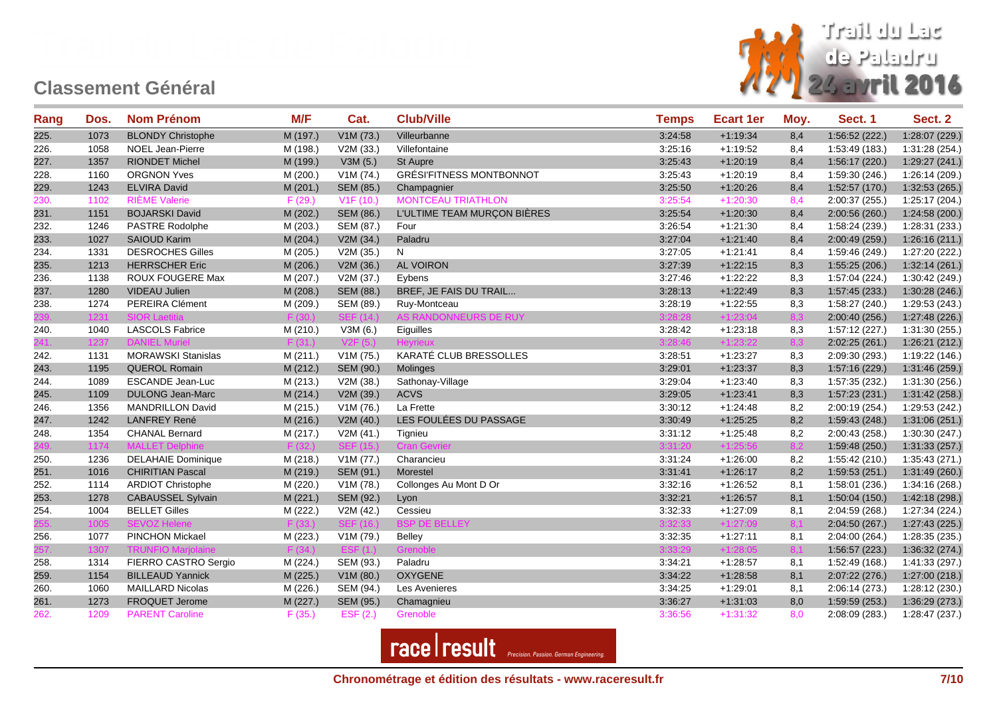

| Rang | Dos. | <b>Nom Prénom</b>         | M/F      | Cat.               | <b>Club/Ville</b>               | <b>Temps</b> | <b>Ecart 1er</b> | Moy. | Sect. 1        | Sect. 2        |
|------|------|---------------------------|----------|--------------------|---------------------------------|--------------|------------------|------|----------------|----------------|
| 225. | 1073 | <b>BLONDY Christophe</b>  | M (197.) | V1M (73.)          | Villeurbanne                    | 3:24:58      | $+1:19:34$       | 8,4  | 1:56:52(222.)  | 1:28:07 (229.) |
| 226. | 1058 | NOEL Jean-Pierre          | M (198.) | V2M(33.)           | Villefontaine                   | 3:25:16      | $+1:19:52$       | 8,4  | 1:53:49 (183.) | 1:31:28 (254.) |
| 227. | 1357 | <b>RIONDET Michel</b>     | M (199.) | V3M(5.)            | <b>St Aupre</b>                 | 3:25:43      | $+1:20:19$       | 8,4  | 1:56:17(220.)  | 1:29:27(241.)  |
| 228. | 1160 | <b>ORGNON Yves</b>        | M (200.) | V1M (74.)          | <b>GRÉSI'FITNESS MONTBONNOT</b> | 3:25:43      | $+1:20:19$       | 8,4  | 1:59:30 (246.) | 1:26:14 (209.) |
| 229. | 1243 | <b>ELVIRA David</b>       | M (201.) | SEM (85.)          | Champagnier                     | 3:25:50      | $+1:20:26$       | 8,4  | 1:52:57(170.)  | 1:32:53(265.)  |
| 230. | 1102 | <b>RIÈME Valerie</b>      | F(29.)   | V1F(10.)           | <b>MONTCEAU TRIATHLON</b>       | 3:25:54      | $+1:20:30$       | 8,4  | 2:00:37 (255.) | 1:25:17 (204.) |
| 231. | 1151 | <b>BOJARSKI David</b>     | M (202.) | SEM (86.)          | L'ULTIME TEAM MURÇON BIÈRES     | 3:25:54      | $+1:20:30$       | 8,4  | 2:00:56 (260.) | 1:24:58 (200.) |
| 232. | 1246 | <b>PASTRE Rodolphe</b>    | M (203.) | SEM (87.)          | Four                            | 3:26:54      | $+1:21:30$       | 8,4  | 1:58:24 (239.) | 1:28:31 (233.) |
| 233. | 1027 | <b>SAIOUD Karim</b>       | M (204.) | V2M (34.)          | Paladru                         | 3:27:04      | $+1:21:40$       | 8,4  | 2:00:49 (259.) | 1:26:16(211.)  |
| 234. | 1331 | <b>DESROCHES Gilles</b>   | M (205.) | V2M (35.)          | N                               | 3:27:05      | $+1:21:41$       | 8,4  | 1:59:46 (249.) | 1:27:20 (222.) |
| 235. | 1213 | <b>HERRSCHER Eric</b>     | M (206.) | V2M (36.)          | AL VOIRON                       | 3:27:39      | $+1:22:15$       | 8,3  | 1:55:25(206.)  | 1:32:14(261.)  |
| 236. | 1138 | ROUX FOUGERE Max          | M (207.) | V2M (37.)          | Eybens                          | 3:27:46      | $+1:22:22$       | 8,3  | 1:57:04 (224.) | 1:30:42 (249.) |
| 237. | 1280 | VIDEAU Julien             | M (208.) | SEM (88.)          | BREF, JE FAIS DU TRAIL          | 3:28:13      | $+1:22:49$       | 8,3  | 1:57:45(233.)  | 1:30:28 (246.) |
| 238. | 1274 | PEREIRA Clément           | M (209.) | SEM (89.)          | Ruy-Montceau                    | 3:28:19      | $+1:22:55$       | 8,3  | 1:58:27 (240.) | 1:29:53 (243.) |
|      | 1231 | SIOR Lae                  | F (30.)  | SEF.<br>14.)       | AS RANDONNEURS DE RUY           | 3:28:28      | $+1:23:04$       | 8,3  | 2:00:40 (256.) | 1:27:48 (226.) |
| 240. | 1040 | <b>LASCOLS Fabrice</b>    | M (210.) | V3M(6.)            | Eiguilles                       | 3:28:42      | $+1:23:18$       | 8,3  | 1:57:12 (227.) | 1:31:30 (255.) |
|      | 1237 | <b>DANIEL Murie</b>       | F(31.)   |                    |                                 | 3:28:46      | $+1:23:22$       | 8,3  | 2:02:25(261.)  | 1:26:21 (212.) |
| 242. | 1131 | <b>MORAWSKI Stanislas</b> | M (211.) | V1M (75.)          | KARATÉ CLUB BRESSOLLES          | 3:28:51      | $+1:23:27$       | 8,3  | 2:09:30 (293.) | 1:19:22 (146.) |
| 243. | 1195 | <b>QUEROL Romain</b>      | M (212.) | SEM (90.)          | Molinges                        | 3:29:01      | $+1:23:37$       | 8,3  | 1:57:16 (229.) | 1:31:46 (259.) |
| 244. | 1089 | <b>ESCANDE Jean-Luc</b>   | M (213.) | V2M (38.)          | Sathonay-Village                | 3:29:04      | $+1:23:40$       | 8,3  | 1:57:35 (232.) | 1:31:30 (256.) |
| 245. | 1109 | <b>DULONG Jean-Marc</b>   | M(214.)  | V2M (39.)          | <b>ACVS</b>                     | 3:29:05      | $+1:23:41$       | 8,3  | 1:57:23(231.)  | 1:31:42(258.)  |
| 246. | 1356 | <b>MANDRILLON David</b>   | M (215.) | V1M (76.)          | La Frette                       | 3:30:12      | $+1:24:48$       | 8,2  | 2:00:19 (254.) | 1:29:53 (242.) |
| 247. | 1242 | <b>LANFREY René</b>       | M (216.) | V2M(40.)           | LES FOULÉES DU PASSAGE          | 3:30:49      | $+1:25:25$       | 8,2  | 1:59:43(248.)  | 1:31:06(251.)  |
| 248. | 1354 | <b>CHANAL Bernard</b>     | M (217.) | V2M(41.)           | Tignieu                         | 3:31:12      | $+1:25:48$       | 8,2  | 2:00:43 (258.) | 1:30:30 (247.) |
|      | 1174 | <b>MALLET De</b>          | F(32.)   | <b>SFF</b><br>15.1 | <b>Cran Gevrier</b>             | 3:31:20      | $+1:25:56$       | 8,2  | 1:59:48(250.)  | 1:31:33(257.)  |
| 250. | 1236 | <b>DELAHAIE Dominique</b> | M (218.) | V1M (77.)          | Charancieu                      | 3:31:24      | $+1:26:00$       | 8,2  | 1:55:42 (210.) | 1:35:43 (271.) |
| 251. | 1016 | <b>CHIRITIAN Pascal</b>   | M (219.) | SEM (91.)          | Morestel                        | 3:31:41      | $+1:26:17$       | 8,2  | 1:59:53(251.)  | 1:31:49(260.)  |
| 252. | 1114 | <b>ARDIOT Christophe</b>  | M (220.) | V1M (78.)          | Collonges Au Mont D Or          | 3:32:16      | $+1:26:52$       | 8,1  | 1:58:01(236.)  | 1:34:16 (268.) |
| 253. | 1278 | <b>CABAUSSEL Sylvain</b>  | M(221.)  | <b>SEM (92.)</b>   | Lyon                            | 3:32:21      | $+1:26:57$       | 8,1  | 1:50:04(150.)  | 1:42:18 (298.) |
| 254. | 1004 | <b>BELLET Gilles</b>      | M (222.) | V2M(42.)           | Cessieu                         | 3:32:33      | $+1:27:09$       | 8,1  | 2:04:59 (268.) | 1:27:34 (224.) |
|      | 1005 | <b>SFVOZ He</b>           | F(33.)   | <b>SEF</b><br>16.1 | <b>BSP DE BELLEY</b>            | 3:32:33      | $+1:27:09$       | 8.1  | 2:04:50 (267.) | 1:27:43(225.)  |
| 256. | 1077 | PINCHON Mickael           | M (223.) | V1M (79.)          | <b>Belley</b>                   | 3:32:35      | $+1:27:11$       | 8,1  | 2:04:00 (264.) | 1:28:35 (235.) |
|      | 1307 | <b>TRUNFIO Ma</b>         | F (34.)  | <b>ESF</b><br>(1.) | Grenoble                        | 3:33:29      | $+1:28:05$       | 8,1  | 1:56:57(223.)  | 1:36:32 (274.) |
| 258. | 1314 | FIERRO CASTRO Sergio      | M (224.) | SEM (93.)          | Paladru                         | 3:34:21      | $+1:28:57$       | 8,1  | 1:52:49 (168.) | 1:41:33 (297.) |
| 259. | 1154 | <b>BILLEAUD Yannick</b>   | M (225.) | V1M(80.)           | <b>OXYGENE</b>                  | 3:34:22      | $+1:28:58$       | 8,1  | 2:07:22(276.)  | 1:27:00 (218.) |
| 260. | 1060 | <b>MAILLARD Nicolas</b>   | M (226.) | SEM (94.)          | Les Avenieres                   | 3:34:25      | $+1:29:01$       | 8,1  | 2:06:14 (273.) | 1:28:12 (230.) |
| 261. | 1273 | FROQUET Jerome            | M(227.)  | SEM (95.)          | Chamagnieu                      | 3:36:27      | $+1:31:03$       | 8,0  | 1:59:59(253.)  | 1:36:29(273.)  |
| 262. | 1209 | <b>PARENT Caroline</b>    | F(35.)   | EST(2.)            | Grenoble                        | 3:36:56      | $+1:31:32$       | 8,0  | 2:08:09(283.)  | 1:28:47 (237.) |

**race** result *Precision. Passion. German Engineering.*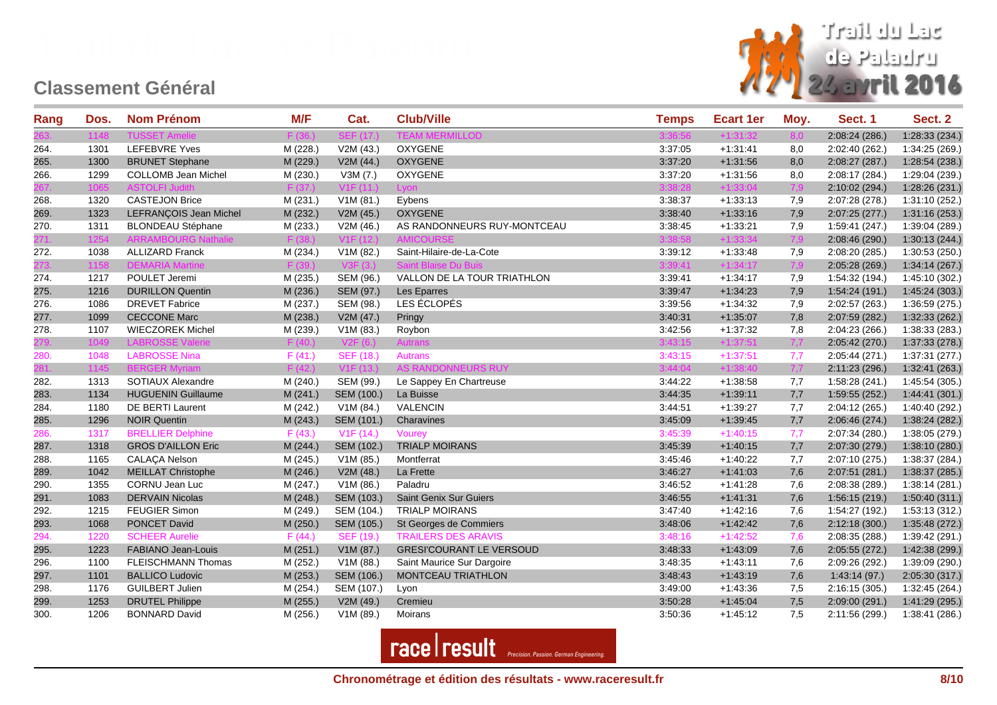

| Rang | Dos. | <b>Nom Prénom</b>          | M/F      | Cat.             | <b>Club/Ville</b>               | <b>Temps</b> | <b>Ecart 1er</b> | Moy. | Sect. 1        | Sect. 2        |
|------|------|----------------------------|----------|------------------|---------------------------------|--------------|------------------|------|----------------|----------------|
|      | 1148 |                            |          |                  | <b>IERMILLOD</b>                |              |                  | 8.0  | 2:08:24 (286.) | 1:28:33 (234.) |
| 264. | 1301 | <b>LEFEBVRE Yves</b>       | M (228.) | V2M (43.)        | OXYGENE                         | 3:37:05      | $+1:31:41$       | 8,0  | 2:02:40 (262.) | 1:34:25 (269.) |
| 265. | 1300 | <b>BRUNET Stephane</b>     | M (229.) | V2M(44.)         | <b>OXYGENE</b>                  | 3:37:20      | $+1:31:56$       | 8,0  | 2:08:27(287.)  | 1:28:54 (238.) |
| 266. | 1299 | <b>COLLOMB Jean Michel</b> | M (230.) | V3M(7.)          | <b>OXYGENE</b>                  | 3:37:20      | $+1:31:56$       | 8,0  | 2:08:17 (284.) | 1:29:04 (239.) |
|      | 1065 | <b>ASTOLFI Judith</b>      | F (37.)  | V1F(11.)         | Lyon                            | 3:38:28      | $+1:33:04$       | 7,9  | 2:10:02 (294.) | 1:28:26 (231.) |
| 268. | 1320 | <b>CASTEJON Brice</b>      | M (231.) | V1M(81.)         | Eybens                          | 3:38:37      | $+1:33:13$       | 7,9  | 2:07:28 (278.) | 1:31:10 (252.) |
| 269. | 1323 | LEFRANÇOIS Jean Michel     | M (232.) | V2M (45.)        | <b>OXYGENE</b>                  | 3:38:40      | $+1:33:16$       | 7,9  | 2:07:25(277.)  | 1:31:16 (253.) |
| 270. | 1311 | <b>BLONDEAU Stéphane</b>   | M (233.) | V2M (46.)        | AS RANDONNEURS RUY-MONTCEAU     | 3:38:45      | $+1:33:21$       | 7,9  | 1:59:41 (247.) | 1:39:04 (289.) |
| 271. | 1254 | <b>ARRAMBOURG Nathalie</b> | F(38)    | V1F(12.)         | <b>AMICOURSE</b>                | 3:38:58      | $+1:33:34$       | 7,9  | 2:08:46 (290.) | 1:30:13(244.)  |
| 272. | 1038 | <b>ALLIZARD Franck</b>     | M (234.) | V1M (82.)        | Saint-Hilaire-de-La-Cote        | 3:39:12      | $+1:33:48$       | 7,9  | 2:08:20 (285.) | 1:30:53(250.)  |
| 273. | 1158 | <b>DEMARIA Martine</b>     |          |                  |                                 | 3:39:41      | $+1:34:17$       | 7,9  | 2:05:28 (269.) | 1:34:14(267.)  |
| 274. | 1217 | POULET Jeremi              | M (235.) | SEM (96.)        | VALLON DE LA TOUR TRIATHLON     | 3:39:41      | $+1:34:17$       | 7,9  | 1:54:32 (194.) | 1:45:10 (302.) |
| 275. | 1216 | <b>DURILLON Quentin</b>    | M (236.) | SEM (97.)        | Les Eparres                     | 3:39:47      | $+1:34:23$       | 7,9  | 1:54:24(191.)  | 1:45:24 (303.) |
| 276. | 1086 | <b>DREVET Fabrice</b>      | M (237.) | SEM (98.)        | LES ÉCLOPÉS                     | 3:39:56      | $+1:34:32$       | 7,9  | 2:02:57 (263.) | 1:36:59 (275.) |
| 277. | 1099 | <b>CECCONE Marc</b>        | M (238.) | V2M (47.)        | Pringy                          | 3:40:31      | $+1:35:07$       | 7,8  | 2:07:59 (282.) | 1:32:33(262.)  |
| 278. | 1107 | <b>WIECZOREK Michel</b>    | M (239.) | V1M(83.)         | Roybon                          | 3:42:56      | $+1:37:32$       | 7,8  | 2:04:23 (266.) | 1:38:33 (283.) |
|      | 1049 | <b>LABROSSE Valeri</b>     | F(40.)   | V2F              | <b>Autrans</b>                  | 3:43:15      | $+1:37:51$       | 7,7  | 2:05:42 (270.) | 1:37:33 (278.) |
| 280. | 1048 | <b>LABROSSE Nina</b>       | F(41.)   | <b>SEF (18.)</b> | <b>Autrans</b>                  | 3:43:15      | $+1:37:51$       | 7,7  | 2:05:44 (271.) | 1:37:31 (277.) |
| 281. | 1145 | <b>BERGER Myriam</b>       | F(42.)   | V1F(13.)         | AS RANDONNEURS RUY              | 3:44:04      | $+1:38:40$       | 7,7  | 2:11:23 (296.) | 1:32:41 (263.) |
| 282. | 1313 | SOTIAUX Alexandre          | M (240.) | SEM (99.)        | Le Sappey En Chartreuse         | 3:44:22      | $+1:38:58$       | 7,7  | 1:58:28 (241.) | 1:45:54 (305.) |
| 283. | 1134 | <b>HUGUENIN Guillaume</b>  | M (241.) | SEM (100.)       | La Buisse                       | 3:44:35      | $+1:39:11$       | 7,7  | 1:59:55(252.)  | 1:44:41(301.)  |
| 284. | 1180 | <b>DE BERTI Laurent</b>    | M (242.) | V1M (84.)        | <b>VALENCIN</b>                 | 3:44:51      | $+1:39:27$       | 7,7  | 2:04:12 (265.) | 1:40:40 (292.) |
| 285. | 1296 | <b>NOIR Quentin</b>        | M (243.) | SEM (101.)       | Charavines                      | 3:45:09      | $+1:39:45$       | 7,7  | 2:06:46 (274.) | 1:38:24 (282.) |
| 286. | 1317 | <b>BRELLIER Delphine</b>   | F(43.)   | V1F(14.)         | Vourey                          | 3:45:39      | $+1:40:15$       | 7,7  | 2:07:34 (280.) | 1:38:05 (279.) |
| 287. | 1318 | <b>GROS D'AILLON Eric</b>  | M (244.) | SEM (102.)       | <b>TRIALP MOIRANS</b>           | 3:45:39      | $+1:40:15$       | 7,7  | 2:07:30 (279.) | 1:38:10(280.)  |
| 288. | 1165 | <b>CALAÇA Nelson</b>       | M (245.) | V1M (85.)        | Montferrat                      | 3:45:46      | $+1:40:22$       | 7,7  | 2:07:10(275.)  | 1:38:37 (284.) |
| 289. | 1042 | <b>MEILLAT Christophe</b>  | M (246.) | V2M (48.)        | La Frette                       | 3:46:27      | $+1:41:03$       | 7,6  | 2:07:51 (281.) | 1:38:37 (285.) |
| 290. | 1355 | <b>CORNU Jean Luc</b>      | M (247.) | V1M(86.)         | Paladru                         | 3:46:52      | $+1:41:28$       | 7,6  | 2:08:38 (289.) | 1:38:14(281.)  |
| 291. | 1083 | <b>DERVAIN Nicolas</b>     | M (248.) | SEM (103.)       | <b>Saint Genix Sur Guiers</b>   | 3:46:55      | $+1:41:31$       | 7,6  | 1:56:15(219.)  | 1:50:40(311.)  |
| 292. | 1215 | <b>FEUGIER Simon</b>       | M (249.) | SEM (104.)       | <b>TRIALP MOIRANS</b>           | 3:47:40      | $+1:42:16$       | 7,6  | 1:54:27 (192.) | 1:53:13 (312.) |
| 293. | 1068 | <b>PONCET David</b>        | M (250.) | SEM (105.)       | St Georges de Commiers          | 3:48:06      | $+1:42:42$       | 7,6  | 2:12:18(300.)  | 1:35:48(272.)  |
| 294. | 1220 | <b>SCHEER Aurelie</b>      | F(44)    | SEF (19.)        | <b>TRAILERS DES ARAVIS</b>      | 3:48:16      | $+1:42:52$       | 7,6  | 2:08:35 (288.) | 1:39:42 (291.) |
| 295. | 1223 | FABIANO Jean-Louis         | M (251.) | V1M (87.)        | <b>GRESI'COURANT LE VERSOUD</b> | 3:48:33      | $+1:43:09$       | 7,6  | 2:05:55 (272.) | 1:42:38 (299.) |
| 296. | 1100 | FLEISCHMANN Thomas         | M (252.) | V1M (88.)        | Saint Maurice Sur Dargoire      | 3:48:35      | $+1:43:11$       | 7,6  | 2:09:26 (292.) | 1:39:09 (290.) |
| 297. | 1101 | <b>BALLICO Ludovic</b>     | M (253.) | SEM (106.)       | MONTCEAU TRIATHLON              | 3:48:43      | $+1:43:19$       | 7,6  | 1:43:14(97.)   | 2:05:30 (317.) |
| 298. | 1176 | <b>GUILBERT Julien</b>     | M (254.) | SEM (107.)       | Lyon                            | 3:49:00      | $+1:43:36$       | 7,5  | 2:16:15 (305.) | 1:32:45 (264.) |
| 299. | 1253 | <b>DRUTEL Philippe</b>     | M (255.) | V2M(49.)         | Cremieu                         | 3:50:28      | $+1:45.04$       | 7,5  | 2:09:00(291.)  | 1:41:29 (295.) |
| 300. | 1206 | <b>BONNARD David</b>       | M (256.) | V1M (89.)        | Moirans                         | 3:50:36      | $+1:45:12$       | 7,5  | 2:11:56 (299.) | 1:38:41(286.)  |

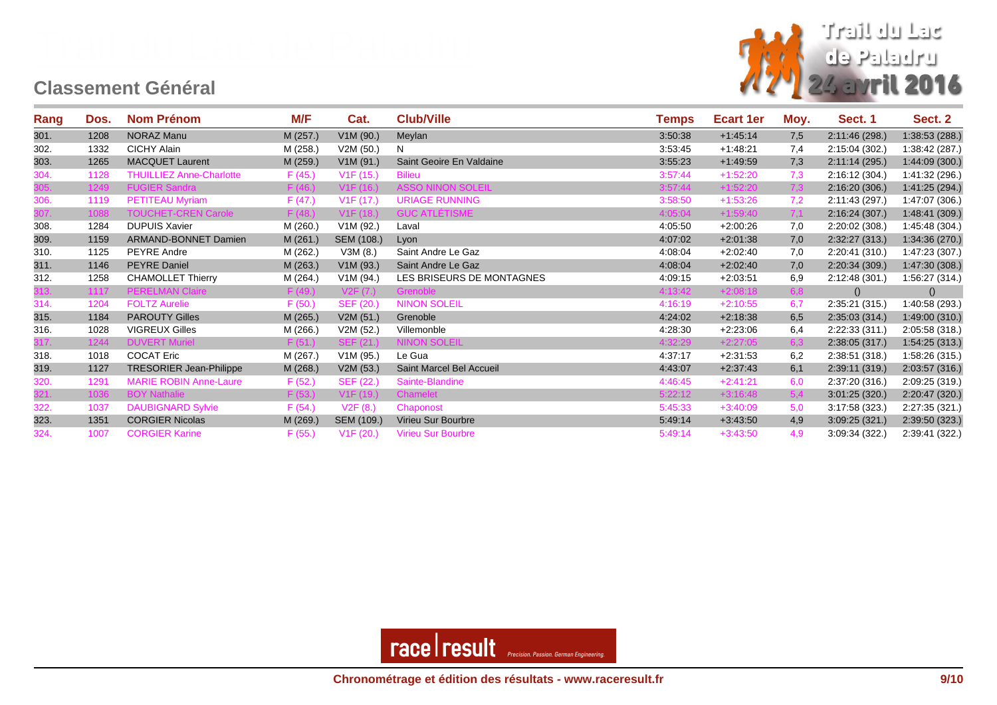

| Rang | Dos. | <b>Nom Prénom</b>               | M/F      | Cat.                   | <b>Club/Ville</b>         | Temps   | Ecart 1er  | Moy. | Sect. 1        | Sect. 2        |
|------|------|---------------------------------|----------|------------------------|---------------------------|---------|------------|------|----------------|----------------|
| 301. | 1208 | NORAZ Manu                      | M (257.) | V1M (90.)              | Meylan                    | 3:50:38 | $+1.45.14$ | 7,5  | 2:11:46 (298.) | 1:38:53(288.)  |
| 302. | 1332 | CICHY Alain                     | M (258.) | V2M(50.)               | N                         | 3:53:45 | $+1:48:21$ | 7,4  | 2:15:04 (302.) | 1:38:42(287.)  |
| 303. | 1265 | <b>MACQUET Laurent</b>          | M (259.) | V1M (91.)              | Saint Geoire En Valdaine  | 3:55:23 | $+1.49.59$ | 7,3  | 2:11:14 (295.) | 1:44:09(300.)  |
| 304. | 1128 | <b>THUILLIEZ Anne-Charlotte</b> | F(45.)   | V1F(15.)               | <b>Bilieu</b>             | 3:57:44 | $+1:52:20$ | 7,3  | 2:16:12(304.)  | 1:41:32 (296.) |
| 305. | 1249 | <b>FUGIER Sandra</b>            | F(46.)   | V <sub>1</sub> F (16.) | <b>ASSO NINON SOLEIL</b>  | 3:57:44 | $+1:52:20$ | 7,3  | 2:16:20(306.)  | 1:41:25 (294.) |
| 306. | 1119 | <b>PETITEAU Myriam</b>          | F(47.)   | V1F(17.)               | <b>URIAGE RUNNING</b>     | 3:58:50 | $+1:53:26$ | 7,2  | 2:11:43 (297.) | 1:47:07 (306.) |
|      | 1088 | <b>TOUCHET-CREN Carole</b>      | F(48.)   | V1F(18.)               | <b>GUC ATLETISME</b>      | 4:05:04 | $+1:59:40$ | 7,1  | 2:16:24(307.)  | 1:48:41 (309.) |
| 308. | 1284 | <b>DUPUIS Xavier</b>            | M (260.) | V1M (92.)              | Laval                     | 4:05:50 | $+2.00:26$ | 7,0  | 2:20:02 (308.) | 1:45:48 (304.) |
| 309. | 1159 | ARMAND-BONNET Damien            | M(261.)  | SEM (108.)             | Lyon                      | 4:07:02 | $+2:01:38$ | 7,0  | 2:32:27(313.)  | 1:34:36 (270.) |
| 310. | 1125 | <b>PEYRE Andre</b>              | M (262.) | V3M(8.)                | Saint Andre Le Gaz        | 4:08:04 | $+2.02:40$ | 7,0  | 2:20:41(310.)  | 1:47:23 (307.) |
| 311. | 1146 | <b>PEYRE Daniel</b>             | M (263.) | V1M (93.)              | Saint Andre Le Gaz        | 4:08:04 | $+2.02:40$ | 7,0  | 2:20:34(309)   | 1:47:30 (308.) |
| 312. | 1258 | <b>CHAMOLLET Thierry</b>        | M (264.) | V1M (94.)              | LES BRISEURS DE MONTAGNES | 4:09:15 | $+2:03:51$ | 6,9  | 2:12:48(301.)  | 1:56:27 (314.) |
| 313. | 1117 | <b>PERELMAN Claire</b>          | F(49.)   | V2F(7.)                | Grenoble                  | 4:13:42 | $+2:08:18$ | 6,8  | ()             | ()             |
| 314. | 1204 | <b>FOLTZ Aurelie</b>            | F(50.)   | SEF (20.)              | <b>NINON SOLEIL</b>       | 4:16:19 | $+2:10:55$ | 6,7  | 2:35:21(315.)  | 1:40:58 (293.) |
| 315. | 1184 | <b>PAROUTY Gilles</b>           | M (265.) | V2M(51.)               | Grenoble                  | 4:24:02 | $+2:18:38$ | 6,5  | 2:35.03(314.)  | 1:49:00(310.)  |
| 316. | 1028 | <b>VIGREUX Gilles</b>           | M (266.) | V2M(52.)               | Villemonble               | 4:28:30 | $+2:23:06$ | 6,4  | 2:22:33(311.)  | 2:05:58 (318.) |
| 317. | 1244 | <b>DUVERT Muriel</b>            | F(51.)   | SEF (21.)              | <b>NINON SOLEIL</b>       | 4:32:29 | $+2:27:05$ | 6.3  | 2:38:05(317.)  | 1:54:25(313.)  |
| 318. | 1018 | <b>COCAT Eric</b>               | M (267.) | V1M (95.)              | Le Gua                    | 4:37:17 | $+2:31:53$ | 6,2  | 2:38:51 (318.) | 1:58:26 (315.) |
| 319. | 1127 | <b>TRESORIER Jean-Philippe</b>  | M (268.) | V2M (53.)              | Saint Marcel Bel Accueil  | 4:43:07 | $+2:37:43$ | 6,1  | 2:39:11 (319.) | 2:03:57 (316.) |
| 320. | 1291 | <b>MARIE ROBIN Anne-Laure</b>   | F(52.)   | SEF (22.)              | Sainte-Blandine           | 4:46:45 | $+2:41:21$ | 6.0  | 2:37:20 (316.) | 2:09:25 (319.) |
| 321. | 1036 | <b>BOY Nathalie</b>             | F(53.)   | V1F(19.)               | Chamelet                  | 5:22:12 | $+3:16:48$ | 5,4  | 3.01:25(320.)  | 2:20:47 (320.) |
| 322. | 1037 | <b>DAUBIGNARD Sylvie</b>        | F(54.)   | V2F(8.)                | Chaponost                 | 5:45:33 | $+3:40:09$ | 5,0  | 3:17:58 (323.) | 2:27:35 (321.) |
| 323. | 1351 | <b>CORGIER Nicolas</b>          | M (269.) | SEM (109.)             | Virieu Sur Bourbre        | 5:49:14 | $+3:43.50$ | 4,9  | 3.09:25(321)   | 2:39:50 (323.) |
| 324. | 1007 | <b>CORGIER Karine</b>           | F(55.)   | V1F(20.)               | <b>Virieu Sur Bourbre</b> | 5:49:14 | $+3:43:50$ | 4.9  | 3:09:34(322)   | 2:39:41 (322.) |